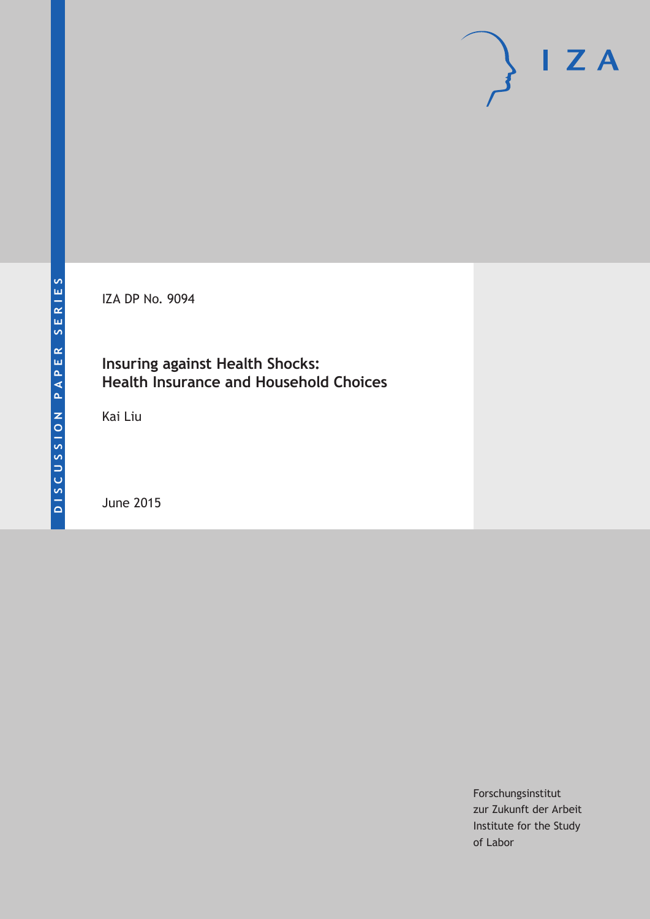IZA DP No. 9094

## **Insuring against Health Shocks: Health Insurance and Household Choices**

Kai Liu

June 2015

Forschungsinstitut zur Zukunft der Arbeit Institute for the Study of Labor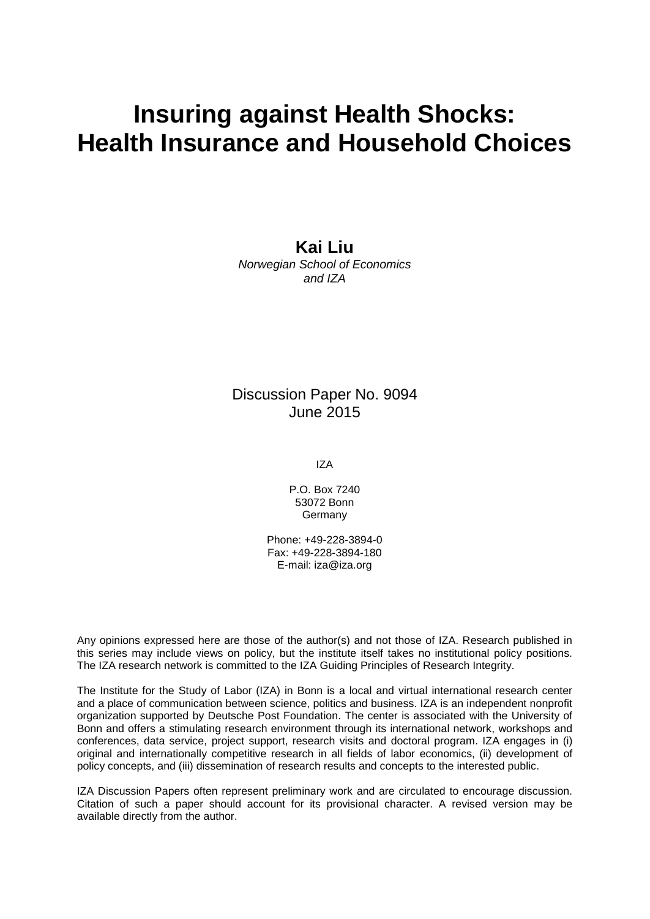# **Insuring against Health Shocks: Health Insurance and Household Choices**

**Kai Liu**

*Norwegian School of Economics and IZA*

## Discussion Paper No. 9094 June 2015

IZA

P.O. Box 7240 53072 Bonn **Germany** 

Phone: +49-228-3894-0 Fax: +49-228-3894-180 E-mail: iza@iza.org

Any opinions expressed here are those of the author(s) and not those of IZA. Research published in this series may include views on policy, but the institute itself takes no institutional policy positions. The IZA research network is committed to the IZA Guiding Principles of Research Integrity.

The Institute for the Study of Labor (IZA) in Bonn is a local and virtual international research center and a place of communication between science, politics and business. IZA is an independent nonprofit organization supported by Deutsche Post Foundation. The center is associated with the University of Bonn and offers a stimulating research environment through its international network, workshops and conferences, data service, project support, research visits and doctoral program. IZA engages in (i) original and internationally competitive research in all fields of labor economics, (ii) development of policy concepts, and (iii) dissemination of research results and concepts to the interested public.

<span id="page-1-0"></span>IZA Discussion Papers often represent preliminary work and are circulated to encourage discussion. Citation of such a paper should account for its provisional character. A revised version may be available directly from the author.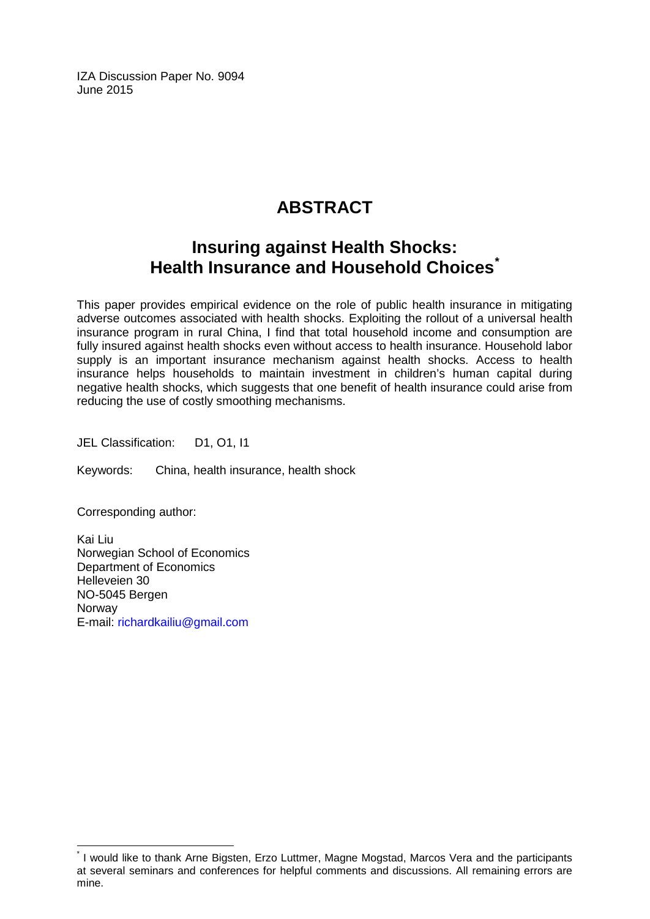IZA Discussion Paper No. 9094 June 2015

## **ABSTRACT**

## **Insuring against Health Shocks: Health Insurance and Household Choices[\\*](#page-1-0)**

This paper provides empirical evidence on the role of public health insurance in mitigating adverse outcomes associated with health shocks. Exploiting the rollout of a universal health insurance program in rural China, I find that total household income and consumption are fully insured against health shocks even without access to health insurance. Household labor supply is an important insurance mechanism against health shocks. Access to health insurance helps households to maintain investment in children's human capital during negative health shocks, which suggests that one benefit of health insurance could arise from reducing the use of costly smoothing mechanisms.

JEL Classification: D1, 01, I1

Keywords: China, health insurance, health shock

Corresponding author:

Kai Liu Norwegian School of Economics Department of Economics Helleveien 30 NO-5045 Bergen Norway E-mail: [richardkailiu@gmail.com](mailto:richardkailiu@gmail.com)

\* I would like to thank Arne Bigsten, Erzo Luttmer, Magne Mogstad, Marcos Vera and the participants at several seminars and conferences for helpful comments and discussions. All remaining errors are mine.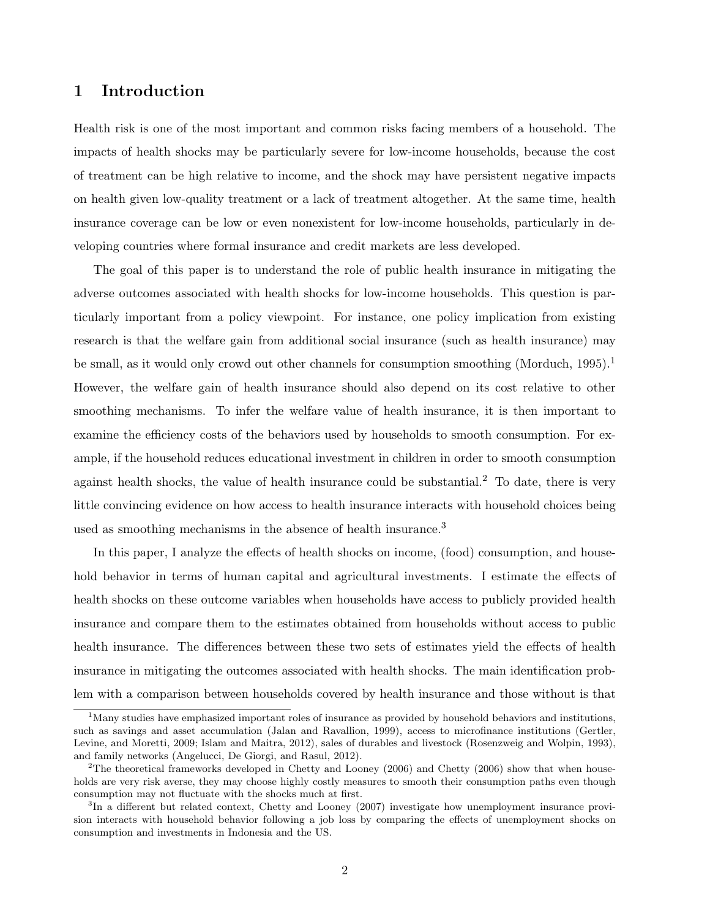### 1 Introduction

Health risk is one of the most important and common risks facing members of a household. The impacts of health shocks may be particularly severe for low-income households, because the cost of treatment can be high relative to income, and the shock may have persistent negative impacts on health given low-quality treatment or a lack of treatment altogether. At the same time, health insurance coverage can be low or even nonexistent for low-income households, particularly in developing countries where formal insurance and credit markets are less developed.

The goal of this paper is to understand the role of public health insurance in mitigating the adverse outcomes associated with health shocks for low-income households. This question is particularly important from a policy viewpoint. For instance, one policy implication from existing research is that the welfare gain from additional social insurance (such as health insurance) may be small, as it would only crowd out other channels for consumption smoothing (Morduch, 1995).<sup>1</sup> However, the welfare gain of health insurance should also depend on its cost relative to other smoothing mechanisms. To infer the welfare value of health insurance, it is then important to examine the efficiency costs of the behaviors used by households to smooth consumption. For example, if the household reduces educational investment in children in order to smooth consumption against health shocks, the value of health insurance could be substantial.<sup>2</sup> To date, there is very little convincing evidence on how access to health insurance interacts with household choices being used as smoothing mechanisms in the absence of health insurance.<sup>3</sup>

In this paper, I analyze the effects of health shocks on income, (food) consumption, and household behavior in terms of human capital and agricultural investments. I estimate the effects of health shocks on these outcome variables when households have access to publicly provided health insurance and compare them to the estimates obtained from households without access to public health insurance. The differences between these two sets of estimates yield the effects of health insurance in mitigating the outcomes associated with health shocks. The main identification problem with a comparison between households covered by health insurance and those without is that

<sup>&</sup>lt;sup>1</sup>Many studies have emphasized important roles of insurance as provided by household behaviors and institutions, such as savings and asset accumulation (Jalan and Ravallion, 1999), access to microfinance institutions (Gertler, Levine, and Moretti, 2009; Islam and Maitra, 2012), sales of durables and livestock (Rosenzweig and Wolpin, 1993), and family networks (Angelucci, De Giorgi, and Rasul, 2012).

<sup>&</sup>lt;sup>2</sup>The theoretical frameworks developed in Chetty and Looney (2006) and Chetty (2006) show that when households are very risk averse, they may choose highly costly measures to smooth their consumption paths even though consumption may not fluctuate with the shocks much at first.

<sup>&</sup>lt;sup>3</sup>In a different but related context, Chetty and Looney (2007) investigate how unemployment insurance provision interacts with household behavior following a job loss by comparing the effects of unemployment shocks on consumption and investments in Indonesia and the US.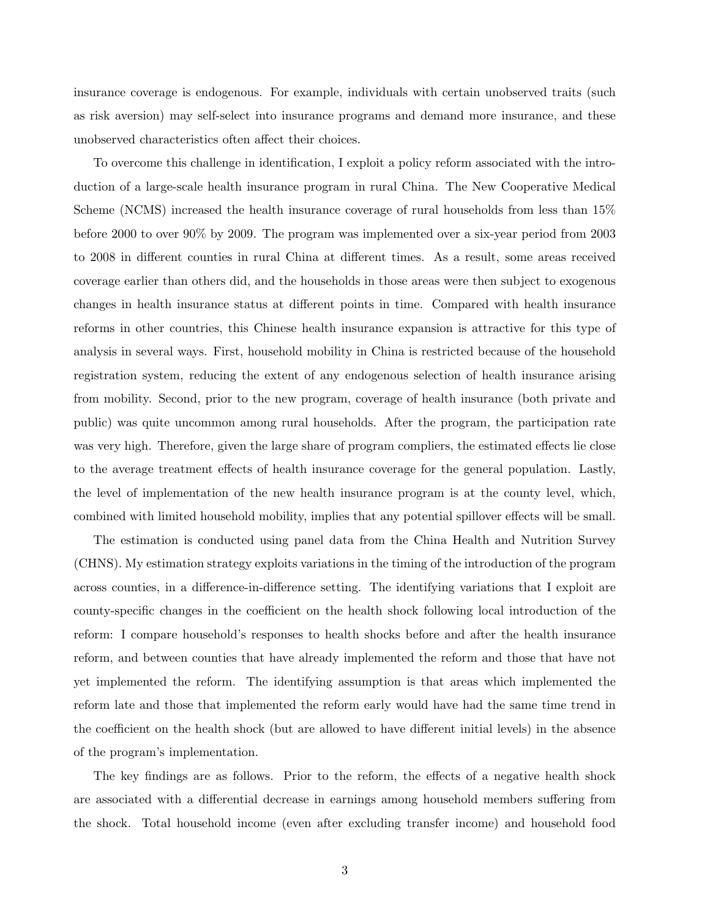insurance coverage is endogenous. For example, individuals with certain unobserved traits (such as risk aversion) may self-select into insurance programs and demand more insurance, and these unobserved characteristics often affect their choices.

To overcome this challenge in identification, I exploit a policy reform associated with the introduction of a large-scale health insurance program in rural China. The New Cooperative Medical Scheme (NCMS) increased the health insurance coverage of rural households from less than 15% before 2000 to over 90% by 2009. The program was implemented over a six-year period from 2003 to 2008 in different counties in rural China at different times. As a result, some areas received coverage earlier than others did, and the households in those areas were then subject to exogenous changes in health insurance status at different points in time. Compared with health insurance reforms in other countries, this Chinese health insurance expansion is attractive for this type of analysis in several ways. First, household mobility in China is restricted because of the household registration system, reducing the extent of any endogenous selection of health insurance arising from mobility. Second, prior to the new program, coverage of health insurance (both private and public) was quite uncommon among rural households. After the program, the participation rate was very high. Therefore, given the large share of program compliers, the estimated effects lie close to the average treatment effects of health insurance coverage for the general population. Lastly, the level of implementation of the new health insurance program is at the county level, which, combined with limited household mobility, implies that any potential spillover effects will be small.

The estimation is conducted using panel data from the China Health and Nutrition Survey (CHNS). My estimation strategy exploits variations in the timing of the introduction of the program across counties, in a difference-in-difference setting. The identifying variations that I exploit are county-specific changes in the coefficient on the health shock following local introduction of the reform: I compare household's responses to health shocks before and after the health insurance reform, and between counties that have already implemented the reform and those that have not yet implemented the reform. The identifying assumption is that areas which implemented the reform late and those that implemented the reform early would have had the same time trend in the coefficient on the health shock (but are allowed to have different initial levels) in the absence of the program's implementation.

The key findings are as follows. Prior to the reform, the effects of a negative health shock are associated with a differential decrease in earnings among household members suffering from the shock. Total household income (even after excluding transfer income) and household food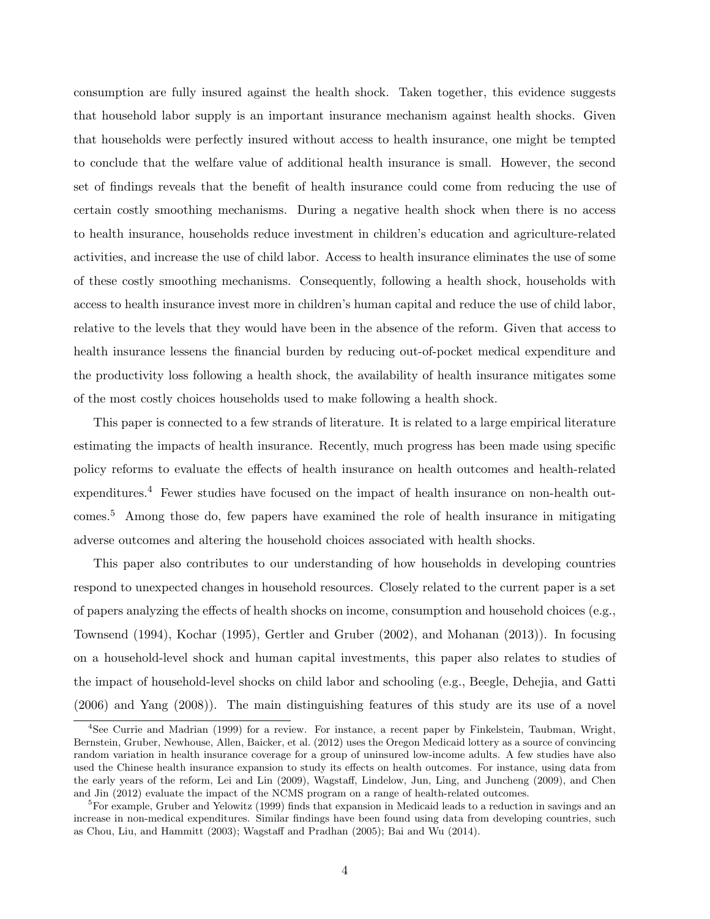consumption are fully insured against the health shock. Taken together, this evidence suggests that household labor supply is an important insurance mechanism against health shocks. Given that households were perfectly insured without access to health insurance, one might be tempted to conclude that the welfare value of additional health insurance is small. However, the second set of findings reveals that the benefit of health insurance could come from reducing the use of certain costly smoothing mechanisms. During a negative health shock when there is no access to health insurance, households reduce investment in children's education and agriculture-related activities, and increase the use of child labor. Access to health insurance eliminates the use of some of these costly smoothing mechanisms. Consequently, following a health shock, households with access to health insurance invest more in children's human capital and reduce the use of child labor, relative to the levels that they would have been in the absence of the reform. Given that access to health insurance lessens the financial burden by reducing out-of-pocket medical expenditure and the productivity loss following a health shock, the availability of health insurance mitigates some of the most costly choices households used to make following a health shock.

This paper is connected to a few strands of literature. It is related to a large empirical literature estimating the impacts of health insurance. Recently, much progress has been made using specific policy reforms to evaluate the effects of health insurance on health outcomes and health-related expenditures.<sup>4</sup> Fewer studies have focused on the impact of health insurance on non-health outcomes.<sup>5</sup> Among those do, few papers have examined the role of health insurance in mitigating adverse outcomes and altering the household choices associated with health shocks.

This paper also contributes to our understanding of how households in developing countries respond to unexpected changes in household resources. Closely related to the current paper is a set of papers analyzing the effects of health shocks on income, consumption and household choices (e.g., Townsend (1994), Kochar (1995), Gertler and Gruber (2002), and Mohanan (2013)). In focusing on a household-level shock and human capital investments, this paper also relates to studies of the impact of household-level shocks on child labor and schooling (e.g., Beegle, Dehejia, and Gatti (2006) and Yang (2008)). The main distinguishing features of this study are its use of a novel

<sup>4</sup>See Currie and Madrian (1999) for a review. For instance, a recent paper by Finkelstein, Taubman, Wright, Bernstein, Gruber, Newhouse, Allen, Baicker, et al. (2012) uses the Oregon Medicaid lottery as a source of convincing random variation in health insurance coverage for a group of uninsured low-income adults. A few studies have also used the Chinese health insurance expansion to study its effects on health outcomes. For instance, using data from the early years of the reform, Lei and Lin (2009), Wagstaff, Lindelow, Jun, Ling, and Juncheng (2009), and Chen and Jin (2012) evaluate the impact of the NCMS program on a range of health-related outcomes.

<sup>&</sup>lt;sup>5</sup>For example, Gruber and Yelowitz (1999) finds that expansion in Medicaid leads to a reduction in savings and an increase in non-medical expenditures. Similar findings have been found using data from developing countries, such as Chou, Liu, and Hammitt (2003); Wagstaff and Pradhan (2005); Bai and Wu (2014).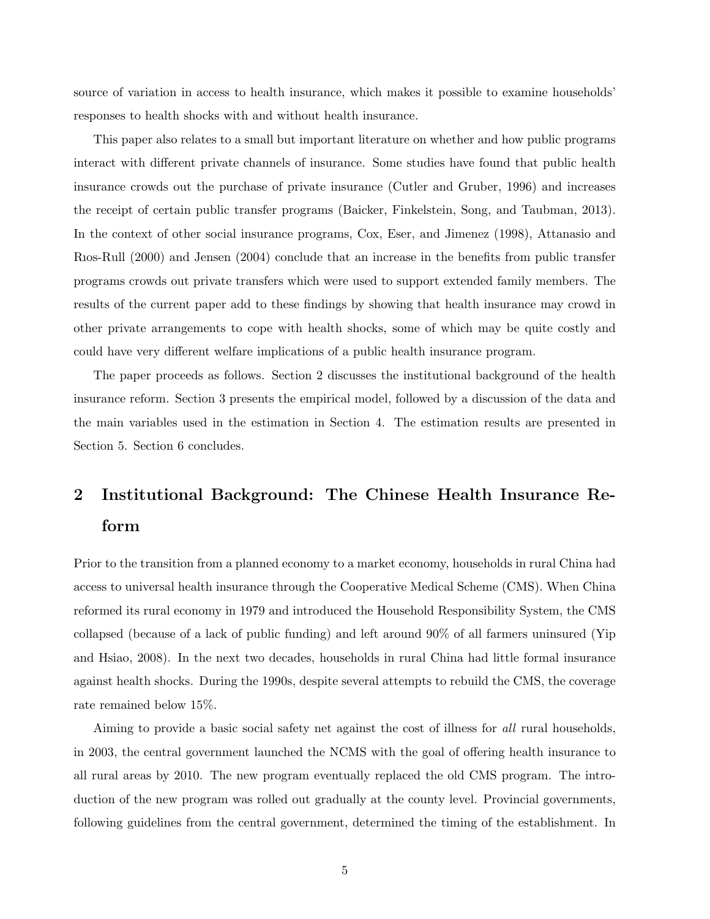source of variation in access to health insurance, which makes it possible to examine households' responses to health shocks with and without health insurance.

This paper also relates to a small but important literature on whether and how public programs interact with different private channels of insurance. Some studies have found that public health insurance crowds out the purchase of private insurance (Cutler and Gruber, 1996) and increases the receipt of certain public transfer programs (Baicker, Finkelstein, Song, and Taubman, 2013). In the context of other social insurance programs, Cox, Eser, and Jimenez (1998), Attanasio and Rıos-Rull (2000) and Jensen (2004) conclude that an increase in the benefits from public transfer programs crowds out private transfers which were used to support extended family members. The results of the current paper add to these findings by showing that health insurance may crowd in other private arrangements to cope with health shocks, some of which may be quite costly and could have very different welfare implications of a public health insurance program.

The paper proceeds as follows. Section 2 discusses the institutional background of the health insurance reform. Section 3 presents the empirical model, followed by a discussion of the data and the main variables used in the estimation in Section 4. The estimation results are presented in Section 5. Section 6 concludes.

## 2 Institutional Background: The Chinese Health Insurance Reform

Prior to the transition from a planned economy to a market economy, households in rural China had access to universal health insurance through the Cooperative Medical Scheme (CMS). When China reformed its rural economy in 1979 and introduced the Household Responsibility System, the CMS collapsed (because of a lack of public funding) and left around 90% of all farmers uninsured (Yip and Hsiao, 2008). In the next two decades, households in rural China had little formal insurance against health shocks. During the 1990s, despite several attempts to rebuild the CMS, the coverage rate remained below 15%.

Aiming to provide a basic social safety net against the cost of illness for all rural households, in 2003, the central government launched the NCMS with the goal of offering health insurance to all rural areas by 2010. The new program eventually replaced the old CMS program. The introduction of the new program was rolled out gradually at the county level. Provincial governments, following guidelines from the central government, determined the timing of the establishment. In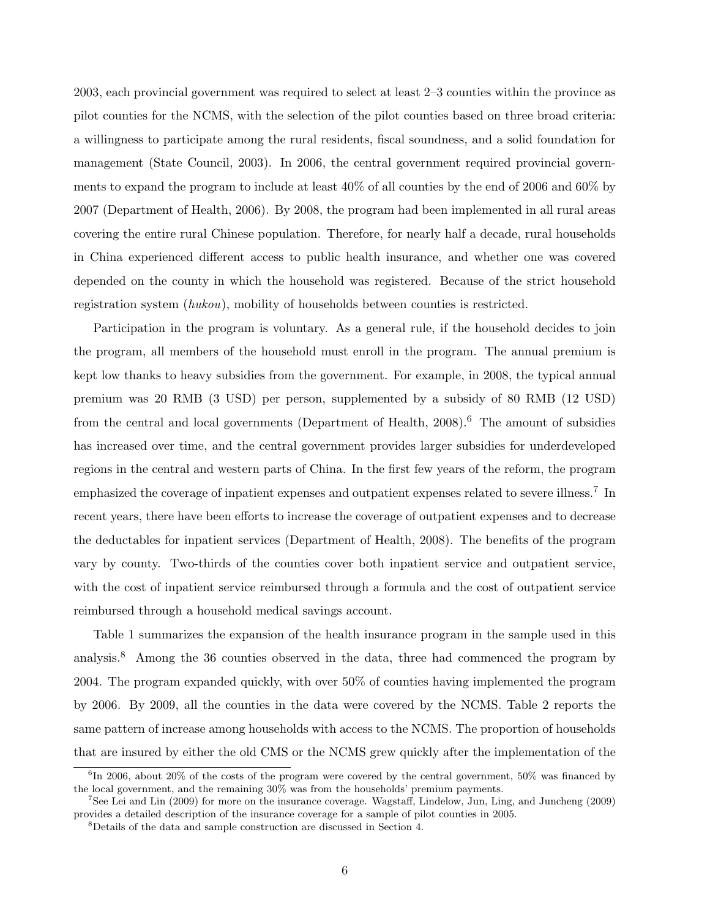2003, each provincial government was required to select at least 2–3 counties within the province as pilot counties for the NCMS, with the selection of the pilot counties based on three broad criteria: a willingness to participate among the rural residents, fiscal soundness, and a solid foundation for management (State Council, 2003). In 2006, the central government required provincial governments to expand the program to include at least 40% of all counties by the end of 2006 and 60% by 2007 (Department of Health, 2006). By 2008, the program had been implemented in all rural areas covering the entire rural Chinese population. Therefore, for nearly half a decade, rural households in China experienced different access to public health insurance, and whether one was covered depended on the county in which the household was registered. Because of the strict household registration system (hukou), mobility of households between counties is restricted.

Participation in the program is voluntary. As a general rule, if the household decides to join the program, all members of the household must enroll in the program. The annual premium is kept low thanks to heavy subsidies from the government. For example, in 2008, the typical annual premium was 20 RMB (3 USD) per person, supplemented by a subsidy of 80 RMB (12 USD) from the central and local governments (Department of Health,  $2008$ ).<sup>6</sup> The amount of subsidies has increased over time, and the central government provides larger subsidies for underdeveloped regions in the central and western parts of China. In the first few years of the reform, the program emphasized the coverage of inpatient expenses and outpatient expenses related to severe illness.<sup>7</sup> In recent years, there have been efforts to increase the coverage of outpatient expenses and to decrease the deductables for inpatient services (Department of Health, 2008). The benefits of the program vary by county. Two-thirds of the counties cover both inpatient service and outpatient service, with the cost of inpatient service reimbursed through a formula and the cost of outpatient service reimbursed through a household medical savings account.

Table 1 summarizes the expansion of the health insurance program in the sample used in this analysis.<sup>8</sup> Among the 36 counties observed in the data, three had commenced the program by 2004. The program expanded quickly, with over 50% of counties having implemented the program by 2006. By 2009, all the counties in the data were covered by the NCMS. Table 2 reports the same pattern of increase among households with access to the NCMS. The proportion of households that are insured by either the old CMS or the NCMS grew quickly after the implementation of the

<sup>&</sup>lt;sup>6</sup>In 2006, about 20% of the costs of the program were covered by the central government, 50% was financed by the local government, and the remaining 30% was from the households' premium payments.

<sup>7</sup>See Lei and Lin (2009) for more on the insurance coverage. Wagstaff, Lindelow, Jun, Ling, and Juncheng (2009) provides a detailed description of the insurance coverage for a sample of pilot counties in 2005.

<sup>8</sup>Details of the data and sample construction are discussed in Section 4.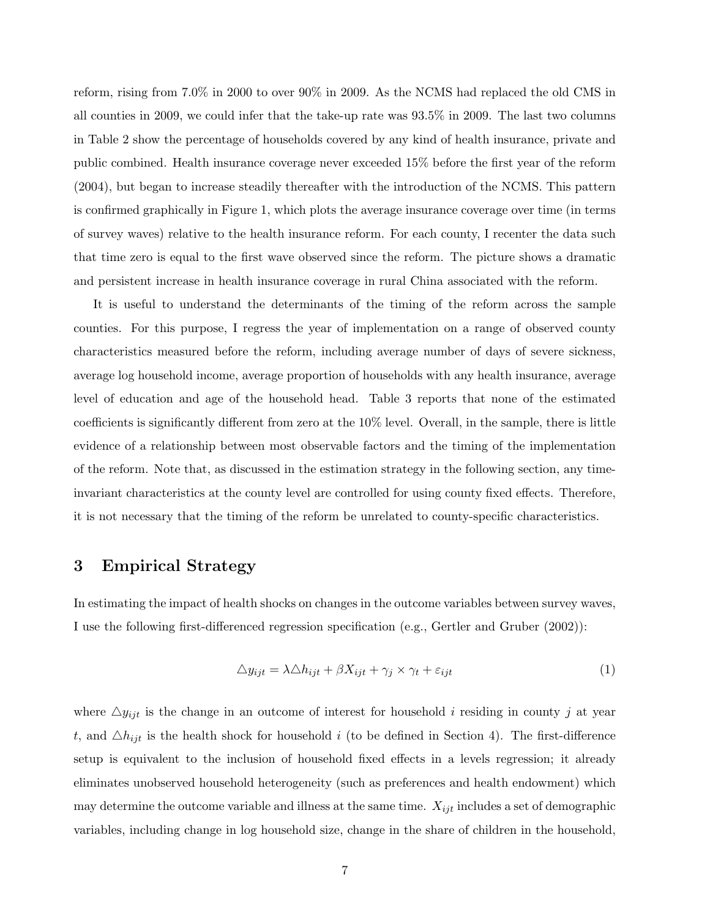reform, rising from 7.0% in 2000 to over 90% in 2009. As the NCMS had replaced the old CMS in all counties in 2009, we could infer that the take-up rate was 93.5% in 2009. The last two columns in Table 2 show the percentage of households covered by any kind of health insurance, private and public combined. Health insurance coverage never exceeded 15% before the first year of the reform (2004), but began to increase steadily thereafter with the introduction of the NCMS. This pattern is confirmed graphically in Figure 1, which plots the average insurance coverage over time (in terms of survey waves) relative to the health insurance reform. For each county, I recenter the data such that time zero is equal to the first wave observed since the reform. The picture shows a dramatic and persistent increase in health insurance coverage in rural China associated with the reform.

It is useful to understand the determinants of the timing of the reform across the sample counties. For this purpose, I regress the year of implementation on a range of observed county characteristics measured before the reform, including average number of days of severe sickness, average log household income, average proportion of households with any health insurance, average level of education and age of the household head. Table 3 reports that none of the estimated coefficients is significantly different from zero at the 10% level. Overall, in the sample, there is little evidence of a relationship between most observable factors and the timing of the implementation of the reform. Note that, as discussed in the estimation strategy in the following section, any timeinvariant characteristics at the county level are controlled for using county fixed effects. Therefore, it is not necessary that the timing of the reform be unrelated to county-specific characteristics.

### 3 Empirical Strategy

In estimating the impact of health shocks on changes in the outcome variables between survey waves, I use the following first-differenced regression specification (e.g., Gertler and Gruber (2002)):

$$
\Delta y_{ijt} = \lambda \Delta h_{ijt} + \beta X_{ijt} + \gamma_j \times \gamma_t + \varepsilon_{ijt}
$$
\n<sup>(1)</sup>

where  $\triangle y_{ijt}$  is the change in an outcome of interest for household i residing in county j at year t, and  $\Delta h_{ijt}$  is the health shock for household i (to be defined in Section 4). The first-difference setup is equivalent to the inclusion of household fixed effects in a levels regression; it already eliminates unobserved household heterogeneity (such as preferences and health endowment) which may determine the outcome variable and illness at the same time.  $X_{ijt}$  includes a set of demographic variables, including change in log household size, change in the share of children in the household,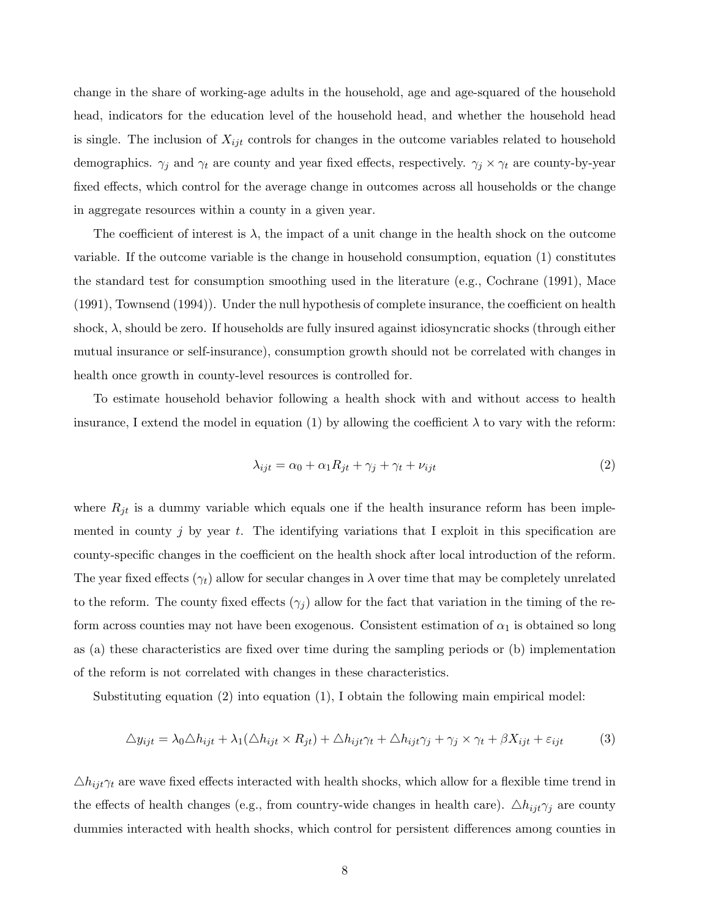change in the share of working-age adults in the household, age and age-squared of the household head, indicators for the education level of the household head, and whether the household head is single. The inclusion of  $X_{ijt}$  controls for changes in the outcome variables related to household demographics.  $\gamma_j$  and  $\gamma_t$  are county and year fixed effects, respectively.  $\gamma_j \times \gamma_t$  are county-by-year fixed effects, which control for the average change in outcomes across all households or the change in aggregate resources within a county in a given year.

The coefficient of interest is  $\lambda$ , the impact of a unit change in the health shock on the outcome variable. If the outcome variable is the change in household consumption, equation (1) constitutes the standard test for consumption smoothing used in the literature (e.g., Cochrane (1991), Mace (1991), Townsend (1994)). Under the null hypothesis of complete insurance, the coefficient on health shock,  $\lambda$ , should be zero. If households are fully insured against idiosyncratic shocks (through either mutual insurance or self-insurance), consumption growth should not be correlated with changes in health once growth in county-level resources is controlled for.

To estimate household behavior following a health shock with and without access to health insurance, I extend the model in equation (1) by allowing the coefficient  $\lambda$  to vary with the reform:

$$
\lambda_{ijt} = \alpha_0 + \alpha_1 R_{jt} + \gamma_j + \gamma_t + \nu_{ijt}
$$
\n<sup>(2)</sup>

where  $R_{jt}$  is a dummy variable which equals one if the health insurance reform has been implemented in county j by year t. The identifying variations that I exploit in this specification are county-specific changes in the coefficient on the health shock after local introduction of the reform. The year fixed effects ( $\gamma_t$ ) allow for secular changes in  $\lambda$  over time that may be completely unrelated to the reform. The county fixed effects  $(\gamma_j)$  allow for the fact that variation in the timing of the reform across counties may not have been exogenous. Consistent estimation of  $\alpha_1$  is obtained so long as (a) these characteristics are fixed over time during the sampling periods or (b) implementation of the reform is not correlated with changes in these characteristics.

Substituting equation  $(2)$  into equation  $(1)$ , I obtain the following main empirical model:

$$
\Delta y_{ijt} = \lambda_0 \Delta h_{ijt} + \lambda_1 (\Delta h_{ijt} \times R_{jt}) + \Delta h_{ijt} \gamma_t + \Delta h_{ijt} \gamma_j + \gamma_j \times \gamma_t + \beta X_{ijt} + \varepsilon_{ijt}
$$
(3)

 $\triangle h_{ijt}\gamma_t$  are wave fixed effects interacted with health shocks, which allow for a flexible time trend in the effects of health changes (e.g., from country-wide changes in health care).  $\Delta h_{ijt}\gamma_j$  are county dummies interacted with health shocks, which control for persistent differences among counties in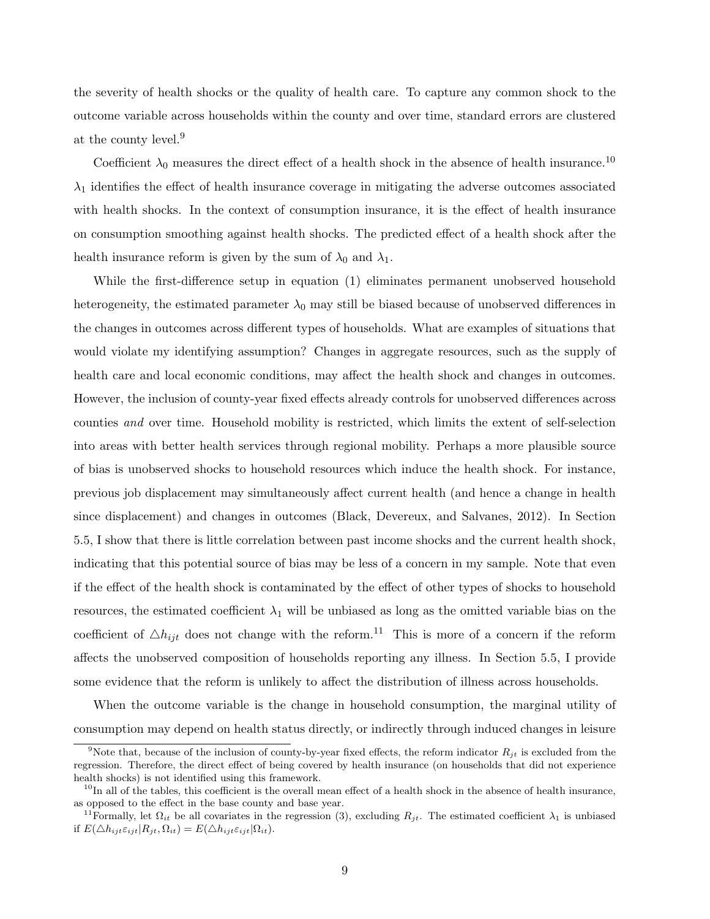the severity of health shocks or the quality of health care. To capture any common shock to the outcome variable across households within the county and over time, standard errors are clustered at the county level.<sup>9</sup>

Coefficient  $\lambda_0$  measures the direct effect of a health shock in the absence of health insurance.<sup>10</sup>  $\lambda_1$  identifies the effect of health insurance coverage in mitigating the adverse outcomes associated with health shocks. In the context of consumption insurance, it is the effect of health insurance on consumption smoothing against health shocks. The predicted effect of a health shock after the health insurance reform is given by the sum of  $\lambda_0$  and  $\lambda_1$ .

While the first-difference setup in equation (1) eliminates permanent unobserved household heterogeneity, the estimated parameter  $\lambda_0$  may still be biased because of unobserved differences in the changes in outcomes across different types of households. What are examples of situations that would violate my identifying assumption? Changes in aggregate resources, such as the supply of health care and local economic conditions, may affect the health shock and changes in outcomes. However, the inclusion of county-year fixed effects already controls for unobserved differences across counties and over time. Household mobility is restricted, which limits the extent of self-selection into areas with better health services through regional mobility. Perhaps a more plausible source of bias is unobserved shocks to household resources which induce the health shock. For instance, previous job displacement may simultaneously affect current health (and hence a change in health since displacement) and changes in outcomes (Black, Devereux, and Salvanes, 2012). In Section 5.5, I show that there is little correlation between past income shocks and the current health shock, indicating that this potential source of bias may be less of a concern in my sample. Note that even if the effect of the health shock is contaminated by the effect of other types of shocks to household resources, the estimated coefficient  $\lambda_1$  will be unbiased as long as the omitted variable bias on the coefficient of  $\Delta h_{ijt}$  does not change with the reform.<sup>11</sup> This is more of a concern if the reform affects the unobserved composition of households reporting any illness. In Section 5.5, I provide some evidence that the reform is unlikely to affect the distribution of illness across households.

When the outcome variable is the change in household consumption, the marginal utility of consumption may depend on health status directly, or indirectly through induced changes in leisure

<sup>&</sup>lt;sup>9</sup>Note that, because of the inclusion of county-by-year fixed effects, the reform indicator  $R_{jt}$  is excluded from the regression. Therefore, the direct effect of being covered by health insurance (on households that did not experience health shocks) is not identified using this framework.

 $10$ In all of the tables, this coefficient is the overall mean effect of a health shock in the absence of health insurance, as opposed to the effect in the base county and base year.

<sup>&</sup>lt;sup>11</sup>Formally, let  $\Omega_{it}$  be all covariates in the regression (3), excluding  $R_{jt}$ . The estimated coefficient  $\lambda_1$  is unbiased if  $E(\triangle h_{ijt} \varepsilon_{ijt} | R_{jt}, \Omega_{it}) = E(\triangle h_{ijt} \varepsilon_{ijt} | \Omega_{it}).$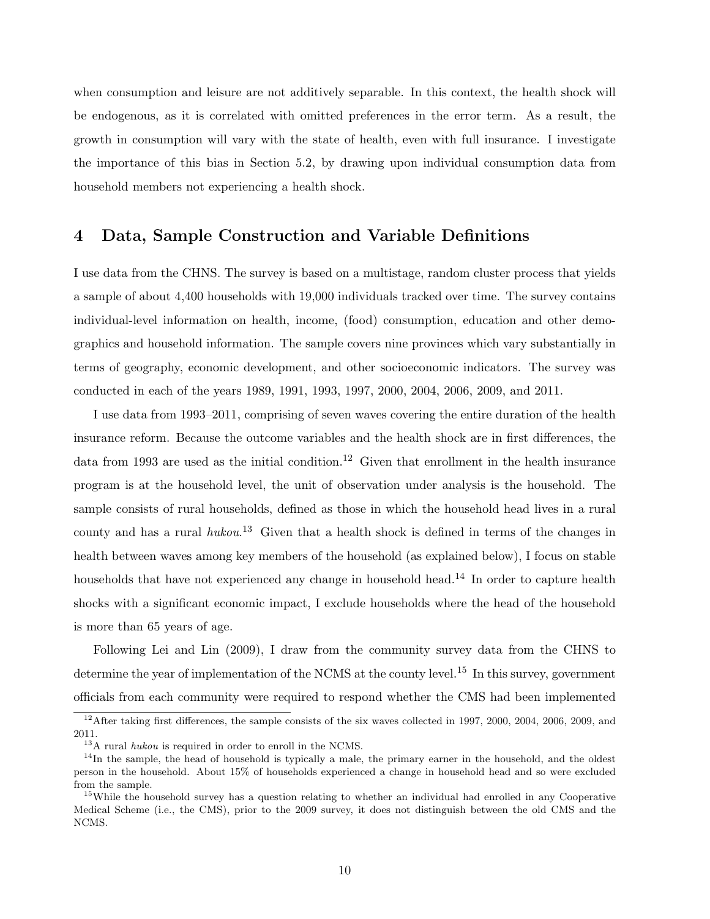when consumption and leisure are not additively separable. In this context, the health shock will be endogenous, as it is correlated with omitted preferences in the error term. As a result, the growth in consumption will vary with the state of health, even with full insurance. I investigate the importance of this bias in Section 5.2, by drawing upon individual consumption data from household members not experiencing a health shock.

## 4 Data, Sample Construction and Variable Definitions

I use data from the CHNS. The survey is based on a multistage, random cluster process that yields a sample of about 4,400 households with 19,000 individuals tracked over time. The survey contains individual-level information on health, income, (food) consumption, education and other demographics and household information. The sample covers nine provinces which vary substantially in terms of geography, economic development, and other socioeconomic indicators. The survey was conducted in each of the years 1989, 1991, 1993, 1997, 2000, 2004, 2006, 2009, and 2011.

I use data from 1993–2011, comprising of seven waves covering the entire duration of the health insurance reform. Because the outcome variables and the health shock are in first differences, the data from 1993 are used as the initial condition.<sup>12</sup> Given that enrollment in the health insurance program is at the household level, the unit of observation under analysis is the household. The sample consists of rural households, defined as those in which the household head lives in a rural county and has a rural  $hukou$ <sup>13</sup> Given that a health shock is defined in terms of the changes in health between waves among key members of the household (as explained below), I focus on stable households that have not experienced any change in household head.<sup>14</sup> In order to capture health shocks with a significant economic impact, I exclude households where the head of the household is more than 65 years of age.

Following Lei and Lin (2009), I draw from the community survey data from the CHNS to determine the year of implementation of the NCMS at the county level.<sup>15</sup> In this survey, government officials from each community were required to respond whether the CMS had been implemented

 $12$ After taking first differences, the sample consists of the six waves collected in 1997, 2000, 2004, 2006, 2009, and 2011.

<sup>13</sup>A rural hukou is required in order to enroll in the NCMS.

<sup>&</sup>lt;sup>14</sup>In the sample, the head of household is typically a male, the primary earner in the household, and the oldest person in the household. About 15% of households experienced a change in household head and so were excluded from the sample.

<sup>&</sup>lt;sup>15</sup>While the household survey has a question relating to whether an individual had enrolled in any Cooperative Medical Scheme (i.e., the CMS), prior to the 2009 survey, it does not distinguish between the old CMS and the NCMS.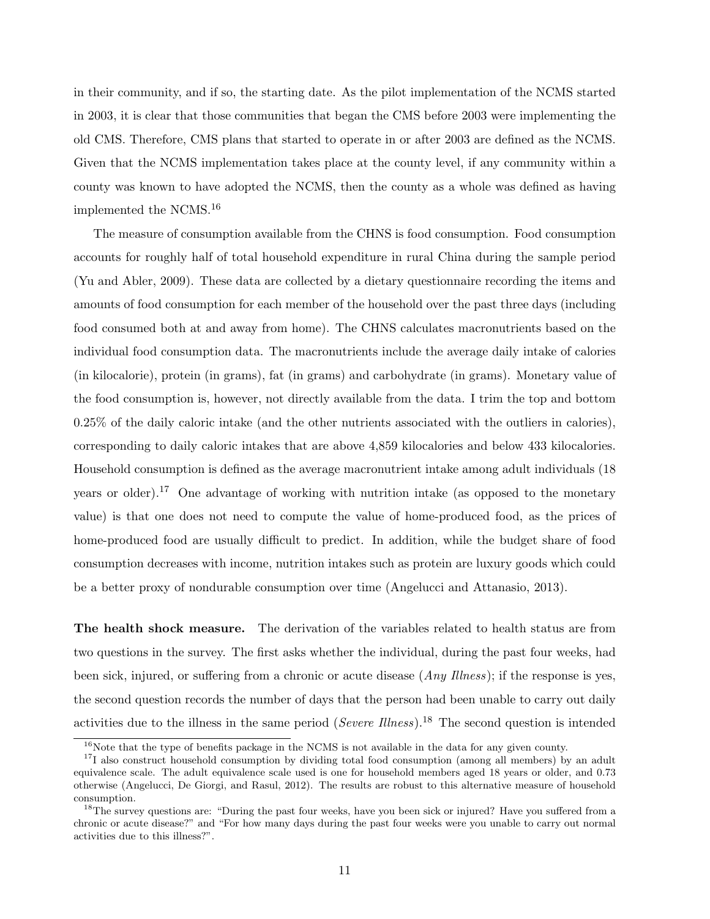in their community, and if so, the starting date. As the pilot implementation of the NCMS started in 2003, it is clear that those communities that began the CMS before 2003 were implementing the old CMS. Therefore, CMS plans that started to operate in or after 2003 are defined as the NCMS. Given that the NCMS implementation takes place at the county level, if any community within a county was known to have adopted the NCMS, then the county as a whole was defined as having implemented the NCMS.<sup>16</sup>

The measure of consumption available from the CHNS is food consumption. Food consumption accounts for roughly half of total household expenditure in rural China during the sample period (Yu and Abler, 2009). These data are collected by a dietary questionnaire recording the items and amounts of food consumption for each member of the household over the past three days (including food consumed both at and away from home). The CHNS calculates macronutrients based on the individual food consumption data. The macronutrients include the average daily intake of calories (in kilocalorie), protein (in grams), fat (in grams) and carbohydrate (in grams). Monetary value of the food consumption is, however, not directly available from the data. I trim the top and bottom 0.25% of the daily caloric intake (and the other nutrients associated with the outliers in calories), corresponding to daily caloric intakes that are above 4,859 kilocalories and below 433 kilocalories. Household consumption is defined as the average macronutrient intake among adult individuals (18 years or older).<sup>17</sup> One advantage of working with nutrition intake (as opposed to the monetary value) is that one does not need to compute the value of home-produced food, as the prices of home-produced food are usually difficult to predict. In addition, while the budget share of food consumption decreases with income, nutrition intakes such as protein are luxury goods which could be a better proxy of nondurable consumption over time (Angelucci and Attanasio, 2013).

The health shock measure. The derivation of the variables related to health status are from two questions in the survey. The first asks whether the individual, during the past four weeks, had been sick, injured, or suffering from a chronic or acute disease  $(Any \ Ilness)$ ; if the response is yes, the second question records the number of days that the person had been unable to carry out daily activities due to the illness in the same period (Severe Illness).<sup>18</sup> The second question is intended

 $16$ Note that the type of benefits package in the NCMS is not available in the data for any given county.

 $17$ I also construct household consumption by dividing total food consumption (among all members) by an adult equivalence scale. The adult equivalence scale used is one for household members aged 18 years or older, and 0.73 otherwise (Angelucci, De Giorgi, and Rasul, 2012). The results are robust to this alternative measure of household consumption.

<sup>&</sup>lt;sup>18</sup>The survey questions are: "During the past four weeks, have you been sick or injured? Have you suffered from a chronic or acute disease?" and "For how many days during the past four weeks were you unable to carry out normal activities due to this illness?".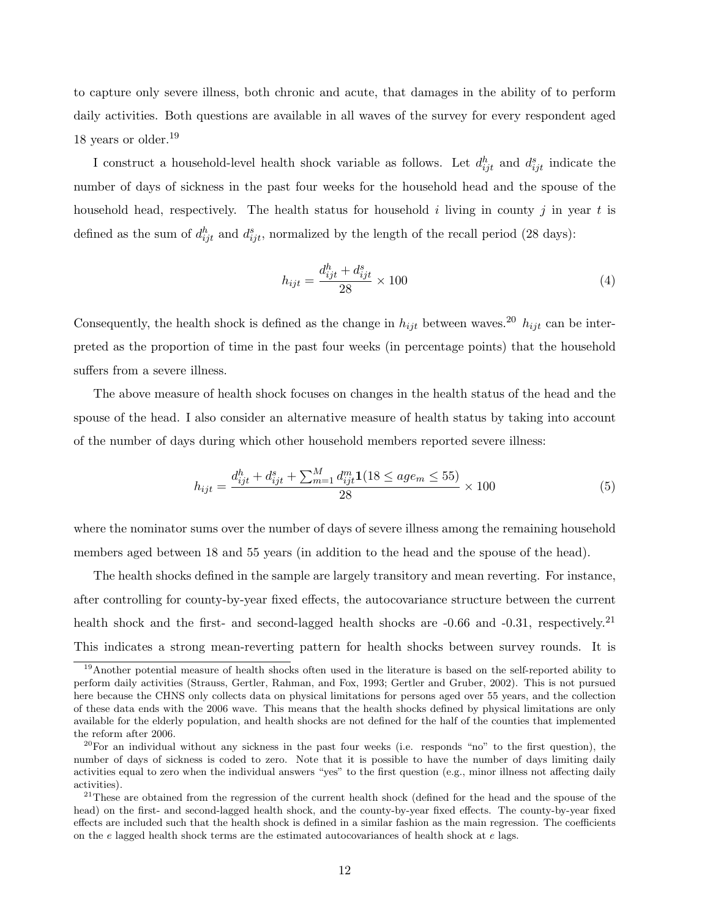to capture only severe illness, both chronic and acute, that damages in the ability of to perform daily activities. Both questions are available in all waves of the survey for every respondent aged 18 years or older.<sup>19</sup>

I construct a household-level health shock variable as follows. Let  $d_{ijt}^h$  and  $d_{ijt}^s$  indicate the number of days of sickness in the past four weeks for the household head and the spouse of the household head, respectively. The health status for household i living in county j in year t is defined as the sum of  $d_{ijt}^h$  and  $d_{ijt}^s$ , normalized by the length of the recall period (28 days):

$$
h_{ijt} = \frac{d_{ijt}^h + d_{ijt}^s}{28} \times 100
$$
\n(4)

Consequently, the health shock is defined as the change in  $h_{ijt}$  between waves.<sup>20</sup>  $h_{ijt}$  can be interpreted as the proportion of time in the past four weeks (in percentage points) that the household suffers from a severe illness.

The above measure of health shock focuses on changes in the health status of the head and the spouse of the head. I also consider an alternative measure of health status by taking into account of the number of days during which other household members reported severe illness:

$$
h_{ijt} = \frac{d_{ijt}^h + d_{ijt}^s + \sum_{m=1}^M d_{ijt}^m \mathbf{1}(18 \le age_m \le 55)}{28} \times 100
$$
 (5)

where the nominator sums over the number of days of severe illness among the remaining household members aged between 18 and 55 years (in addition to the head and the spouse of the head).

The health shocks defined in the sample are largely transitory and mean reverting. For instance, after controlling for county-by-year fixed effects, the autocovariance structure between the current health shock and the first- and second-lagged health shocks are  $-0.66$  and  $-0.31$ , respectively.<sup>21</sup> This indicates a strong mean-reverting pattern for health shocks between survey rounds. It is

<sup>&</sup>lt;sup>19</sup>Another potential measure of health shocks often used in the literature is based on the self-reported ability to perform daily activities (Strauss, Gertler, Rahman, and Fox, 1993; Gertler and Gruber, 2002). This is not pursued here because the CHNS only collects data on physical limitations for persons aged over 55 years, and the collection of these data ends with the 2006 wave. This means that the health shocks defined by physical limitations are only available for the elderly population, and health shocks are not defined for the half of the counties that implemented the reform after 2006.

 $^{20}$ For an individual without any sickness in the past four weeks (i.e. responds "no" to the first question), the number of days of sickness is coded to zero. Note that it is possible to have the number of days limiting daily activities equal to zero when the individual answers "yes" to the first question (e.g., minor illness not affecting daily activities).

 $21$ These are obtained from the regression of the current health shock (defined for the head and the spouse of the head) on the first- and second-lagged health shock, and the county-by-year fixed effects. The county-by-year fixed effects are included such that the health shock is defined in a similar fashion as the main regression. The coefficients on the  $e$  lagged health shock terms are the estimated autocovariances of health shock at  $e$  lags.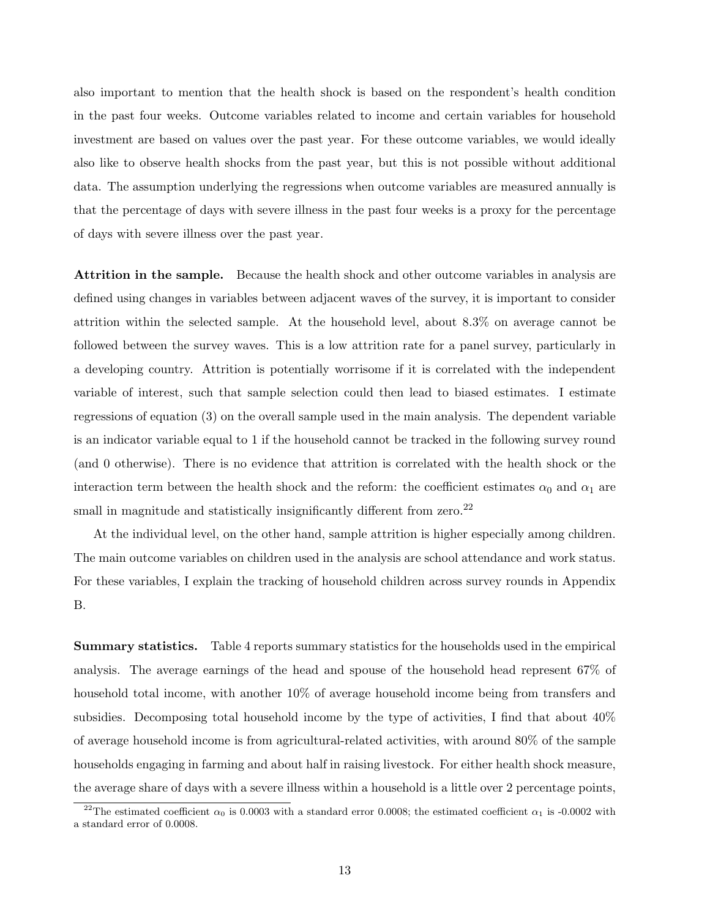also important to mention that the health shock is based on the respondent's health condition in the past four weeks. Outcome variables related to income and certain variables for household investment are based on values over the past year. For these outcome variables, we would ideally also like to observe health shocks from the past year, but this is not possible without additional data. The assumption underlying the regressions when outcome variables are measured annually is that the percentage of days with severe illness in the past four weeks is a proxy for the percentage of days with severe illness over the past year.

Attrition in the sample. Because the health shock and other outcome variables in analysis are defined using changes in variables between adjacent waves of the survey, it is important to consider attrition within the selected sample. At the household level, about 8.3% on average cannot be followed between the survey waves. This is a low attrition rate for a panel survey, particularly in a developing country. Attrition is potentially worrisome if it is correlated with the independent variable of interest, such that sample selection could then lead to biased estimates. I estimate regressions of equation (3) on the overall sample used in the main analysis. The dependent variable is an indicator variable equal to 1 if the household cannot be tracked in the following survey round (and 0 otherwise). There is no evidence that attrition is correlated with the health shock or the interaction term between the health shock and the reform: the coefficient estimates  $\alpha_0$  and  $\alpha_1$  are small in magnitude and statistically insignificantly different from zero.<sup>22</sup>

At the individual level, on the other hand, sample attrition is higher especially among children. The main outcome variables on children used in the analysis are school attendance and work status. For these variables, I explain the tracking of household children across survey rounds in Appendix B.

Summary statistics. Table 4 reports summary statistics for the households used in the empirical analysis. The average earnings of the head and spouse of the household head represent 67% of household total income, with another  $10\%$  of average household income being from transfers and subsidies. Decomposing total household income by the type of activities, I find that about 40% of average household income is from agricultural-related activities, with around 80% of the sample households engaging in farming and about half in raising livestock. For either health shock measure, the average share of days with a severe illness within a household is a little over 2 percentage points,

<sup>&</sup>lt;sup>22</sup>The estimated coefficient  $\alpha_0$  is 0.0003 with a standard error 0.0008; the estimated coefficient  $\alpha_1$  is -0.0002 with a standard error of 0.0008.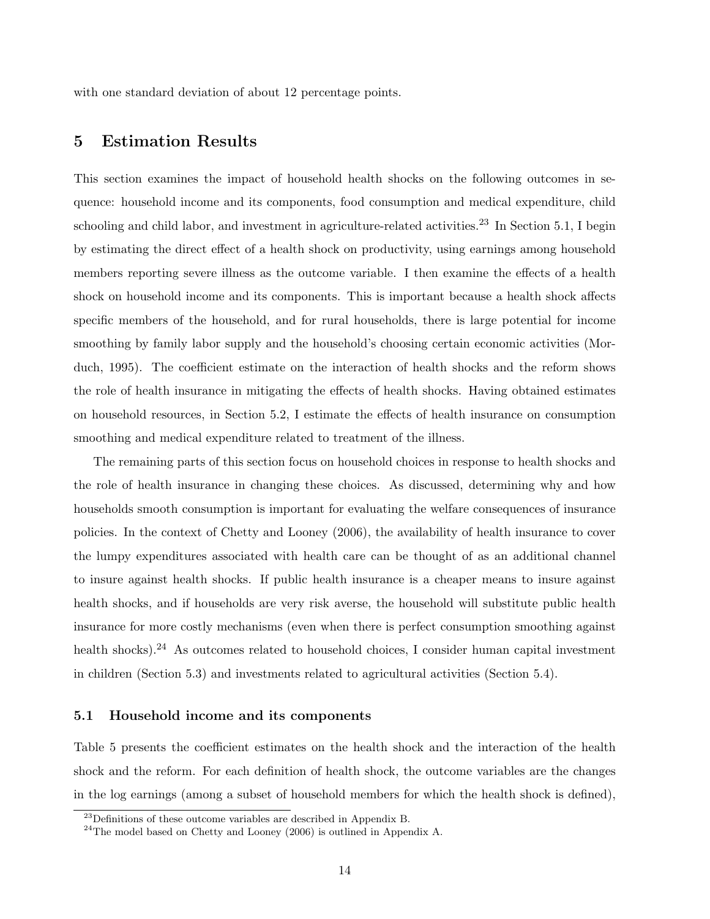with one standard deviation of about 12 percentage points.

## 5 Estimation Results

This section examines the impact of household health shocks on the following outcomes in sequence: household income and its components, food consumption and medical expenditure, child schooling and child labor, and investment in agriculture-related activities.<sup>23</sup> In Section 5.1, I begin by estimating the direct effect of a health shock on productivity, using earnings among household members reporting severe illness as the outcome variable. I then examine the effects of a health shock on household income and its components. This is important because a health shock affects specific members of the household, and for rural households, there is large potential for income smoothing by family labor supply and the household's choosing certain economic activities (Morduch, 1995). The coefficient estimate on the interaction of health shocks and the reform shows the role of health insurance in mitigating the effects of health shocks. Having obtained estimates on household resources, in Section 5.2, I estimate the effects of health insurance on consumption smoothing and medical expenditure related to treatment of the illness.

The remaining parts of this section focus on household choices in response to health shocks and the role of health insurance in changing these choices. As discussed, determining why and how households smooth consumption is important for evaluating the welfare consequences of insurance policies. In the context of Chetty and Looney (2006), the availability of health insurance to cover the lumpy expenditures associated with health care can be thought of as an additional channel to insure against health shocks. If public health insurance is a cheaper means to insure against health shocks, and if households are very risk averse, the household will substitute public health insurance for more costly mechanisms (even when there is perfect consumption smoothing against health shocks).<sup>24</sup> As outcomes related to household choices, I consider human capital investment in children (Section 5.3) and investments related to agricultural activities (Section 5.4).

#### 5.1 Household income and its components

Table 5 presents the coefficient estimates on the health shock and the interaction of the health shock and the reform. For each definition of health shock, the outcome variables are the changes in the log earnings (among a subset of household members for which the health shock is defined),

<sup>23</sup>Definitions of these outcome variables are described in Appendix B.

 $^{24}$ The model based on Chetty and Looney (2006) is outlined in Appendix A.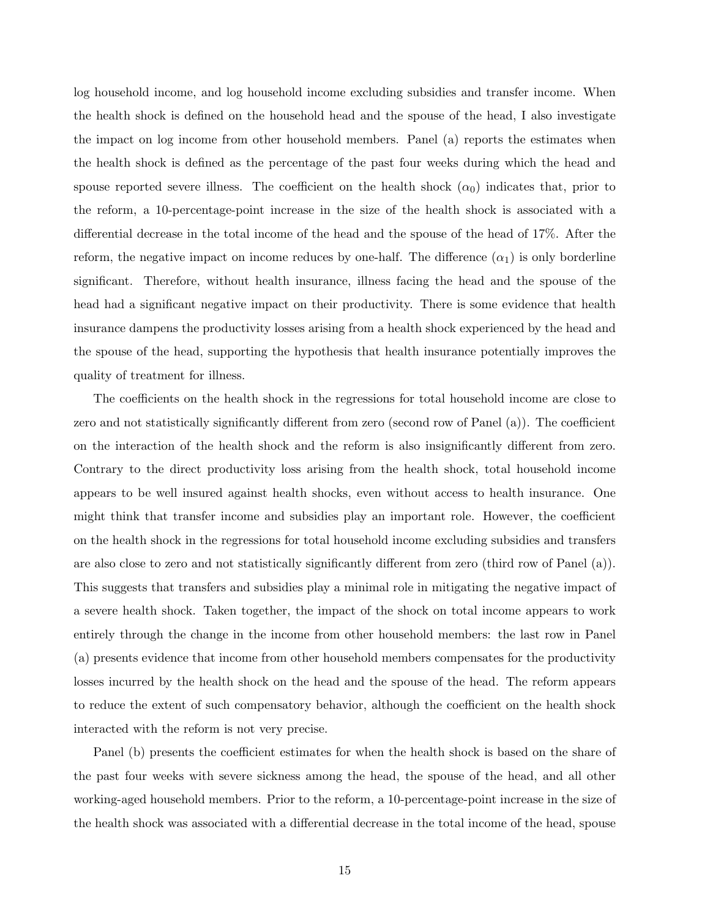log household income, and log household income excluding subsidies and transfer income. When the health shock is defined on the household head and the spouse of the head, I also investigate the impact on log income from other household members. Panel (a) reports the estimates when the health shock is defined as the percentage of the past four weeks during which the head and spouse reported severe illness. The coefficient on the health shock  $(\alpha_0)$  indicates that, prior to the reform, a 10-percentage-point increase in the size of the health shock is associated with a differential decrease in the total income of the head and the spouse of the head of 17%. After the reform, the negative impact on income reduces by one-half. The difference  $(\alpha_1)$  is only borderline significant. Therefore, without health insurance, illness facing the head and the spouse of the head had a significant negative impact on their productivity. There is some evidence that health insurance dampens the productivity losses arising from a health shock experienced by the head and the spouse of the head, supporting the hypothesis that health insurance potentially improves the quality of treatment for illness.

The coefficients on the health shock in the regressions for total household income are close to zero and not statistically significantly different from zero (second row of Panel (a)). The coefficient on the interaction of the health shock and the reform is also insignificantly different from zero. Contrary to the direct productivity loss arising from the health shock, total household income appears to be well insured against health shocks, even without access to health insurance. One might think that transfer income and subsidies play an important role. However, the coefficient on the health shock in the regressions for total household income excluding subsidies and transfers are also close to zero and not statistically significantly different from zero (third row of Panel (a)). This suggests that transfers and subsidies play a minimal role in mitigating the negative impact of a severe health shock. Taken together, the impact of the shock on total income appears to work entirely through the change in the income from other household members: the last row in Panel (a) presents evidence that income from other household members compensates for the productivity losses incurred by the health shock on the head and the spouse of the head. The reform appears to reduce the extent of such compensatory behavior, although the coefficient on the health shock interacted with the reform is not very precise.

Panel (b) presents the coefficient estimates for when the health shock is based on the share of the past four weeks with severe sickness among the head, the spouse of the head, and all other working-aged household members. Prior to the reform, a 10-percentage-point increase in the size of the health shock was associated with a differential decrease in the total income of the head, spouse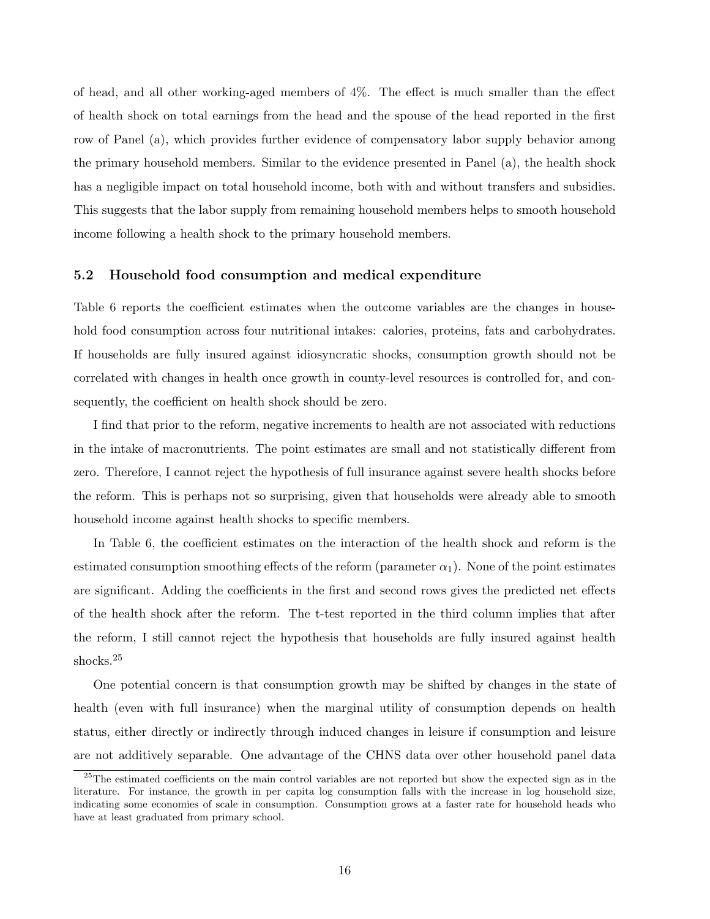of head, and all other working-aged members of 4%. The effect is much smaller than the effect of health shock on total earnings from the head and the spouse of the head reported in the first row of Panel (a), which provides further evidence of compensatory labor supply behavior among the primary household members. Similar to the evidence presented in Panel (a), the health shock has a negligible impact on total household income, both with and without transfers and subsidies. This suggests that the labor supply from remaining household members helps to smooth household income following a health shock to the primary household members.

#### 5.2 Household food consumption and medical expenditure

Table 6 reports the coefficient estimates when the outcome variables are the changes in household food consumption across four nutritional intakes: calories, proteins, fats and carbohydrates. If households are fully insured against idiosyncratic shocks, consumption growth should not be correlated with changes in health once growth in county-level resources is controlled for, and consequently, the coefficient on health shock should be zero.

I find that prior to the reform, negative increments to health are not associated with reductions in the intake of macronutrients. The point estimates are small and not statistically different from zero. Therefore, I cannot reject the hypothesis of full insurance against severe health shocks before the reform. This is perhaps not so surprising, given that households were already able to smooth household income against health shocks to specific members.

In Table 6, the coefficient estimates on the interaction of the health shock and reform is the estimated consumption smoothing effects of the reform (parameter  $\alpha_1$ ). None of the point estimates are significant. Adding the coefficients in the first and second rows gives the predicted net effects of the health shock after the reform. The t-test reported in the third column implies that after the reform, I still cannot reject the hypothesis that households are fully insured against health shocks.<sup>25</sup>

One potential concern is that consumption growth may be shifted by changes in the state of health (even with full insurance) when the marginal utility of consumption depends on health status, either directly or indirectly through induced changes in leisure if consumption and leisure are not additively separable. One advantage of the CHNS data over other household panel data

 $25$ The estimated coefficients on the main control variables are not reported but show the expected sign as in the literature. For instance, the growth in per capita log consumption falls with the increase in log household size, indicating some economies of scale in consumption. Consumption grows at a faster rate for household heads who have at least graduated from primary school.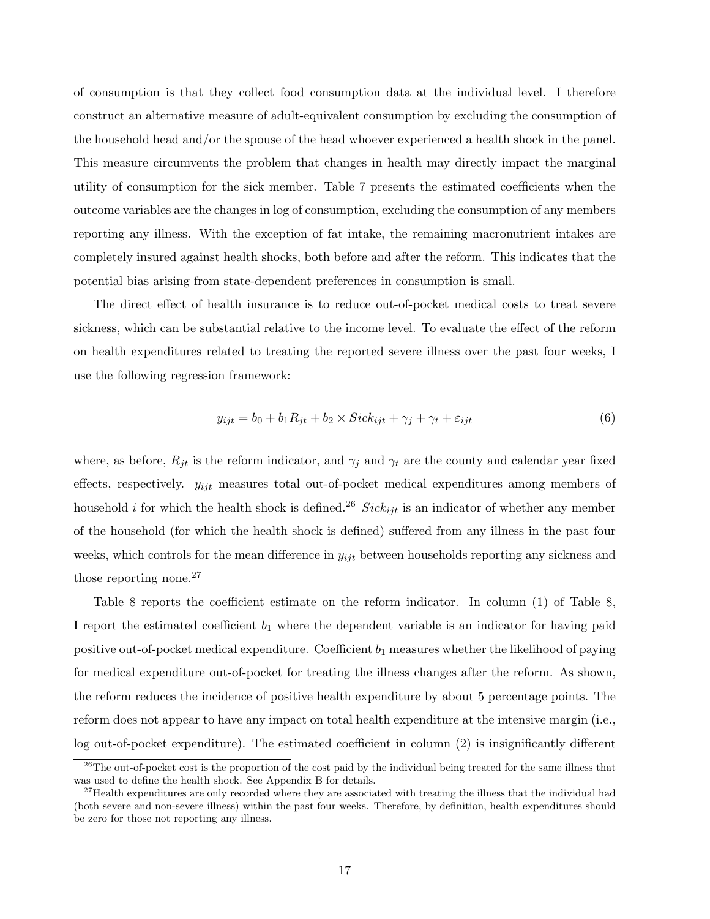of consumption is that they collect food consumption data at the individual level. I therefore construct an alternative measure of adult-equivalent consumption by excluding the consumption of the household head and/or the spouse of the head whoever experienced a health shock in the panel. This measure circumvents the problem that changes in health may directly impact the marginal utility of consumption for the sick member. Table 7 presents the estimated coefficients when the outcome variables are the changes in log of consumption, excluding the consumption of any members reporting any illness. With the exception of fat intake, the remaining macronutrient intakes are completely insured against health shocks, both before and after the reform. This indicates that the potential bias arising from state-dependent preferences in consumption is small.

The direct effect of health insurance is to reduce out-of-pocket medical costs to treat severe sickness, which can be substantial relative to the income level. To evaluate the effect of the reform on health expenditures related to treating the reported severe illness over the past four weeks, I use the following regression framework:

$$
y_{ijt} = b_0 + b_1 R_{jt} + b_2 \times Sick_{ijt} + \gamma_j + \gamma_t + \varepsilon_{ijt}
$$
\n
$$
(6)
$$

where, as before,  $R_{jt}$  is the reform indicator, and  $\gamma_j$  and  $\gamma_t$  are the county and calendar year fixed effects, respectively.  $y_{ijt}$  measures total out-of-pocket medical expenditures among members of household i for which the health shock is defined.<sup>26</sup> Sick<sub>ijt</sub> is an indicator of whether any member of the household (for which the health shock is defined) suffered from any illness in the past four weeks, which controls for the mean difference in  $y_{ijt}$  between households reporting any sickness and those reporting none.<sup>27</sup>

Table 8 reports the coefficient estimate on the reform indicator. In column (1) of Table 8, I report the estimated coefficient  $b_1$  where the dependent variable is an indicator for having paid positive out-of-pocket medical expenditure. Coefficient  $b_1$  measures whether the likelihood of paying for medical expenditure out-of-pocket for treating the illness changes after the reform. As shown, the reform reduces the incidence of positive health expenditure by about 5 percentage points. The reform does not appear to have any impact on total health expenditure at the intensive margin (i.e., log out-of-pocket expenditure). The estimated coefficient in column (2) is insignificantly different

 $^{26}$ The out-of-pocket cost is the proportion of the cost paid by the individual being treated for the same illness that was used to define the health shock. See Appendix B for details.

 $27$  Health expenditures are only recorded where they are associated with treating the illness that the individual had (both severe and non-severe illness) within the past four weeks. Therefore, by definition, health expenditures should be zero for those not reporting any illness.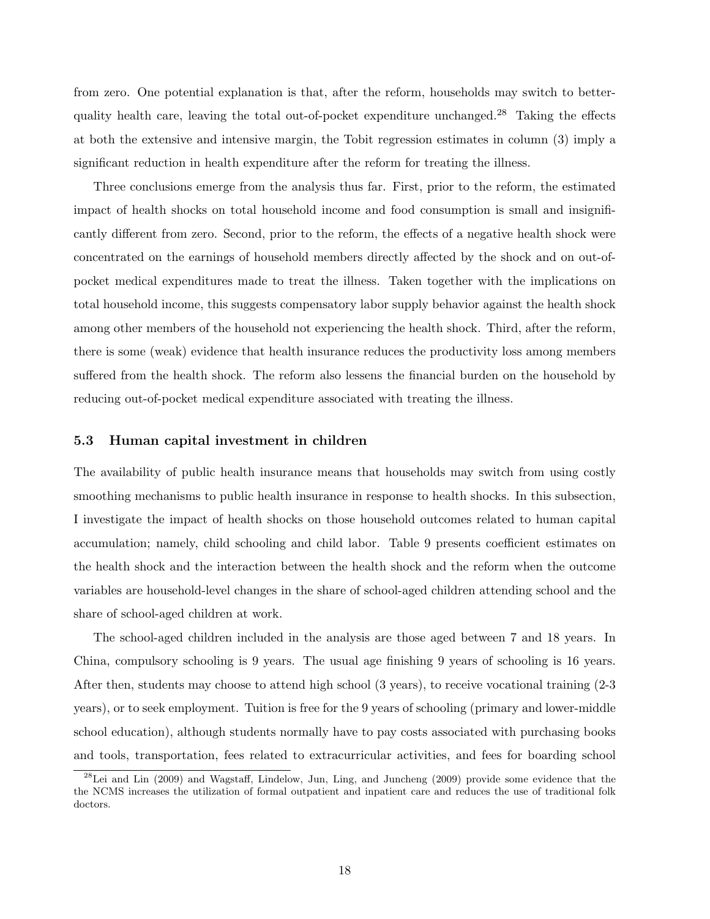from zero. One potential explanation is that, after the reform, households may switch to betterquality health care, leaving the total out-of-pocket expenditure unchanged.<sup>28</sup> Taking the effects at both the extensive and intensive margin, the Tobit regression estimates in column (3) imply a significant reduction in health expenditure after the reform for treating the illness.

Three conclusions emerge from the analysis thus far. First, prior to the reform, the estimated impact of health shocks on total household income and food consumption is small and insignificantly different from zero. Second, prior to the reform, the effects of a negative health shock were concentrated on the earnings of household members directly affected by the shock and on out-ofpocket medical expenditures made to treat the illness. Taken together with the implications on total household income, this suggests compensatory labor supply behavior against the health shock among other members of the household not experiencing the health shock. Third, after the reform, there is some (weak) evidence that health insurance reduces the productivity loss among members suffered from the health shock. The reform also lessens the financial burden on the household by reducing out-of-pocket medical expenditure associated with treating the illness.

#### 5.3 Human capital investment in children

The availability of public health insurance means that households may switch from using costly smoothing mechanisms to public health insurance in response to health shocks. In this subsection, I investigate the impact of health shocks on those household outcomes related to human capital accumulation; namely, child schooling and child labor. Table 9 presents coefficient estimates on the health shock and the interaction between the health shock and the reform when the outcome variables are household-level changes in the share of school-aged children attending school and the share of school-aged children at work.

The school-aged children included in the analysis are those aged between 7 and 18 years. In China, compulsory schooling is 9 years. The usual age finishing 9 years of schooling is 16 years. After then, students may choose to attend high school (3 years), to receive vocational training (2-3 years), or to seek employment. Tuition is free for the 9 years of schooling (primary and lower-middle school education), although students normally have to pay costs associated with purchasing books and tools, transportation, fees related to extracurricular activities, and fees for boarding school

<sup>&</sup>lt;sup>28</sup>Lei and Lin (2009) and Wagstaff, Lindelow, Jun, Ling, and Juncheng (2009) provide some evidence that the the NCMS increases the utilization of formal outpatient and inpatient care and reduces the use of traditional folk doctors.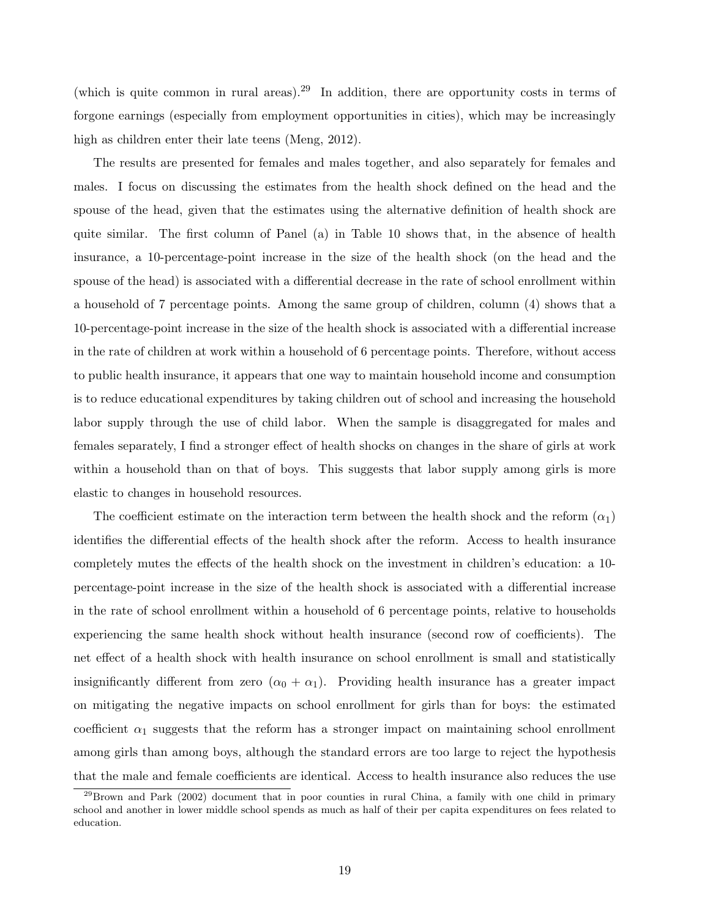(which is quite common in rural areas).<sup>29</sup> In addition, there are opportunity costs in terms of forgone earnings (especially from employment opportunities in cities), which may be increasingly high as children enter their late teens (Meng, 2012).

The results are presented for females and males together, and also separately for females and males. I focus on discussing the estimates from the health shock defined on the head and the spouse of the head, given that the estimates using the alternative definition of health shock are quite similar. The first column of Panel (a) in Table 10 shows that, in the absence of health insurance, a 10-percentage-point increase in the size of the health shock (on the head and the spouse of the head) is associated with a differential decrease in the rate of school enrollment within a household of 7 percentage points. Among the same group of children, column (4) shows that a 10-percentage-point increase in the size of the health shock is associated with a differential increase in the rate of children at work within a household of 6 percentage points. Therefore, without access to public health insurance, it appears that one way to maintain household income and consumption is to reduce educational expenditures by taking children out of school and increasing the household labor supply through the use of child labor. When the sample is disaggregated for males and females separately, I find a stronger effect of health shocks on changes in the share of girls at work within a household than on that of boys. This suggests that labor supply among girls is more elastic to changes in household resources.

The coefficient estimate on the interaction term between the health shock and the reform  $(\alpha_1)$ identifies the differential effects of the health shock after the reform. Access to health insurance completely mutes the effects of the health shock on the investment in children's education: a 10 percentage-point increase in the size of the health shock is associated with a differential increase in the rate of school enrollment within a household of 6 percentage points, relative to households experiencing the same health shock without health insurance (second row of coefficients). The net effect of a health shock with health insurance on school enrollment is small and statistically insignificantly different from zero  $(\alpha_0 + \alpha_1)$ . Providing health insurance has a greater impact on mitigating the negative impacts on school enrollment for girls than for boys: the estimated coefficient  $\alpha_1$  suggests that the reform has a stronger impact on maintaining school enrollment among girls than among boys, although the standard errors are too large to reject the hypothesis that the male and female coefficients are identical. Access to health insurance also reduces the use

 $^{29}$ Brown and Park (2002) document that in poor counties in rural China, a family with one child in primary school and another in lower middle school spends as much as half of their per capita expenditures on fees related to education.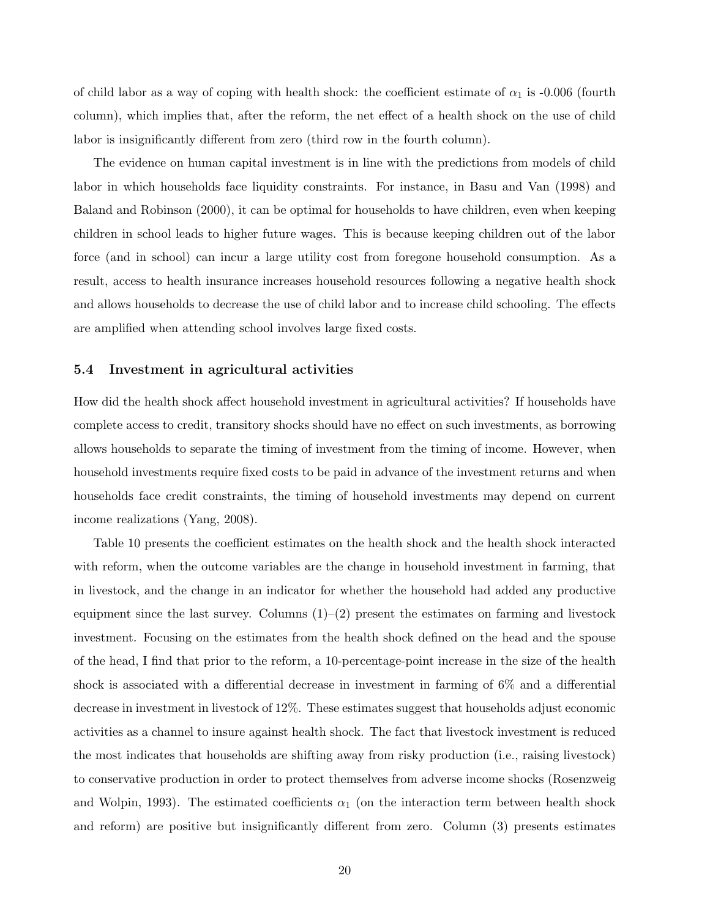of child labor as a way of coping with health shock: the coefficient estimate of  $\alpha_1$  is -0.006 (fourth column), which implies that, after the reform, the net effect of a health shock on the use of child labor is insignificantly different from zero (third row in the fourth column).

The evidence on human capital investment is in line with the predictions from models of child labor in which households face liquidity constraints. For instance, in Basu and Van (1998) and Baland and Robinson (2000), it can be optimal for households to have children, even when keeping children in school leads to higher future wages. This is because keeping children out of the labor force (and in school) can incur a large utility cost from foregone household consumption. As a result, access to health insurance increases household resources following a negative health shock and allows households to decrease the use of child labor and to increase child schooling. The effects are amplified when attending school involves large fixed costs.

#### 5.4 Investment in agricultural activities

How did the health shock affect household investment in agricultural activities? If households have complete access to credit, transitory shocks should have no effect on such investments, as borrowing allows households to separate the timing of investment from the timing of income. However, when household investments require fixed costs to be paid in advance of the investment returns and when households face credit constraints, the timing of household investments may depend on current income realizations (Yang, 2008).

Table 10 presents the coefficient estimates on the health shock and the health shock interacted with reform, when the outcome variables are the change in household investment in farming, that in livestock, and the change in an indicator for whether the household had added any productive equipment since the last survey. Columns  $(1)$ – $(2)$  present the estimates on farming and livestock investment. Focusing on the estimates from the health shock defined on the head and the spouse of the head, I find that prior to the reform, a 10-percentage-point increase in the size of the health shock is associated with a differential decrease in investment in farming of 6% and a differential decrease in investment in livestock of 12%. These estimates suggest that households adjust economic activities as a channel to insure against health shock. The fact that livestock investment is reduced the most indicates that households are shifting away from risky production (i.e., raising livestock) to conservative production in order to protect themselves from adverse income shocks (Rosenzweig and Wolpin, 1993). The estimated coefficients  $\alpha_1$  (on the interaction term between health shock and reform) are positive but insignificantly different from zero. Column (3) presents estimates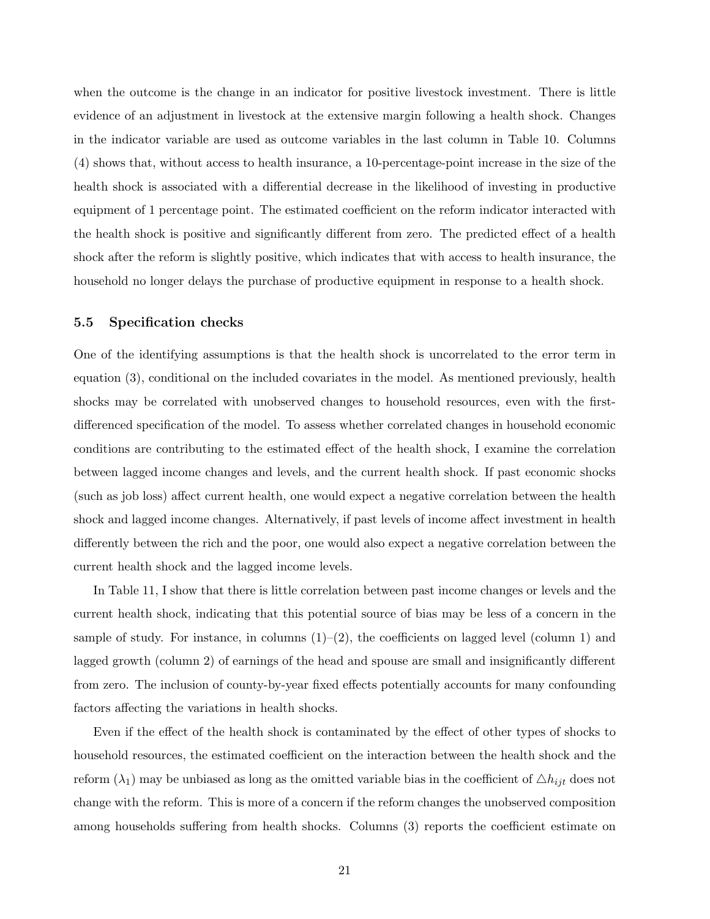when the outcome is the change in an indicator for positive livestock investment. There is little evidence of an adjustment in livestock at the extensive margin following a health shock. Changes in the indicator variable are used as outcome variables in the last column in Table 10. Columns (4) shows that, without access to health insurance, a 10-percentage-point increase in the size of the health shock is associated with a differential decrease in the likelihood of investing in productive equipment of 1 percentage point. The estimated coefficient on the reform indicator interacted with the health shock is positive and significantly different from zero. The predicted effect of a health shock after the reform is slightly positive, which indicates that with access to health insurance, the household no longer delays the purchase of productive equipment in response to a health shock.

#### 5.5 Specification checks

One of the identifying assumptions is that the health shock is uncorrelated to the error term in equation (3), conditional on the included covariates in the model. As mentioned previously, health shocks may be correlated with unobserved changes to household resources, even with the firstdifferenced specification of the model. To assess whether correlated changes in household economic conditions are contributing to the estimated effect of the health shock, I examine the correlation between lagged income changes and levels, and the current health shock. If past economic shocks (such as job loss) affect current health, one would expect a negative correlation between the health shock and lagged income changes. Alternatively, if past levels of income affect investment in health differently between the rich and the poor, one would also expect a negative correlation between the current health shock and the lagged income levels.

In Table 11, I show that there is little correlation between past income changes or levels and the current health shock, indicating that this potential source of bias may be less of a concern in the sample of study. For instance, in columns  $(1)-(2)$ , the coefficients on lagged level (column 1) and lagged growth (column 2) of earnings of the head and spouse are small and insignificantly different from zero. The inclusion of county-by-year fixed effects potentially accounts for many confounding factors affecting the variations in health shocks.

Even if the effect of the health shock is contaminated by the effect of other types of shocks to household resources, the estimated coefficient on the interaction between the health shock and the reform  $(\lambda_1)$  may be unbiased as long as the omitted variable bias in the coefficient of  $\Delta h_{ijt}$  does not change with the reform. This is more of a concern if the reform changes the unobserved composition among households suffering from health shocks. Columns (3) reports the coefficient estimate on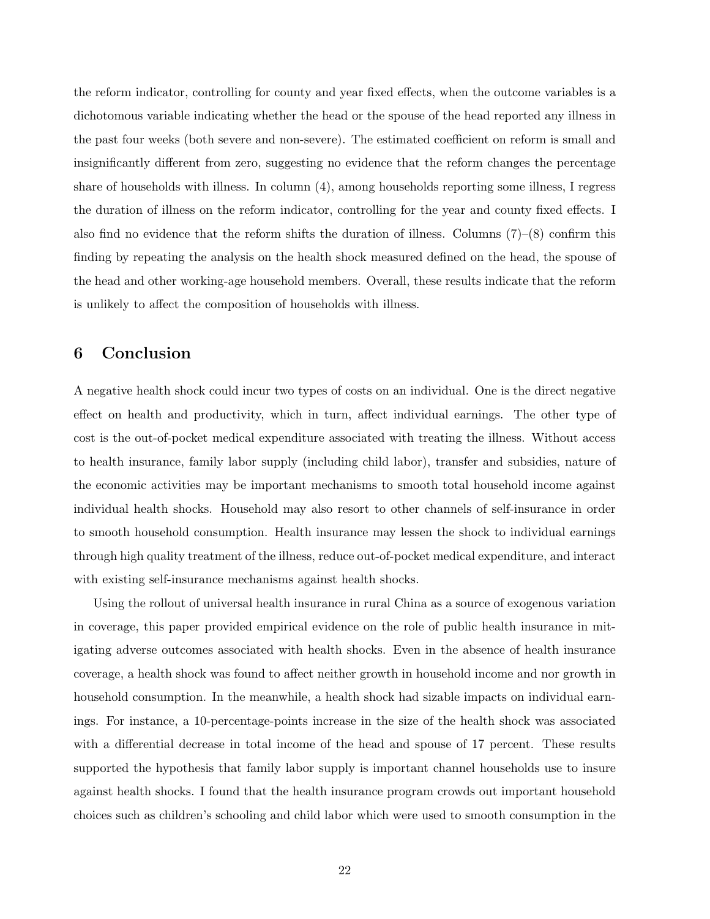the reform indicator, controlling for county and year fixed effects, when the outcome variables is a dichotomous variable indicating whether the head or the spouse of the head reported any illness in the past four weeks (both severe and non-severe). The estimated coefficient on reform is small and insignificantly different from zero, suggesting no evidence that the reform changes the percentage share of households with illness. In column (4), among households reporting some illness, I regress the duration of illness on the reform indicator, controlling for the year and county fixed effects. I also find no evidence that the reform shifts the duration of illness. Columns  $(7)-(8)$  confirm this finding by repeating the analysis on the health shock measured defined on the head, the spouse of the head and other working-age household members. Overall, these results indicate that the reform is unlikely to affect the composition of households with illness.

## 6 Conclusion

A negative health shock could incur two types of costs on an individual. One is the direct negative effect on health and productivity, which in turn, affect individual earnings. The other type of cost is the out-of-pocket medical expenditure associated with treating the illness. Without access to health insurance, family labor supply (including child labor), transfer and subsidies, nature of the economic activities may be important mechanisms to smooth total household income against individual health shocks. Household may also resort to other channels of self-insurance in order to smooth household consumption. Health insurance may lessen the shock to individual earnings through high quality treatment of the illness, reduce out-of-pocket medical expenditure, and interact with existing self-insurance mechanisms against health shocks.

Using the rollout of universal health insurance in rural China as a source of exogenous variation in coverage, this paper provided empirical evidence on the role of public health insurance in mitigating adverse outcomes associated with health shocks. Even in the absence of health insurance coverage, a health shock was found to affect neither growth in household income and nor growth in household consumption. In the meanwhile, a health shock had sizable impacts on individual earnings. For instance, a 10-percentage-points increase in the size of the health shock was associated with a differential decrease in total income of the head and spouse of 17 percent. These results supported the hypothesis that family labor supply is important channel households use to insure against health shocks. I found that the health insurance program crowds out important household choices such as children's schooling and child labor which were used to smooth consumption in the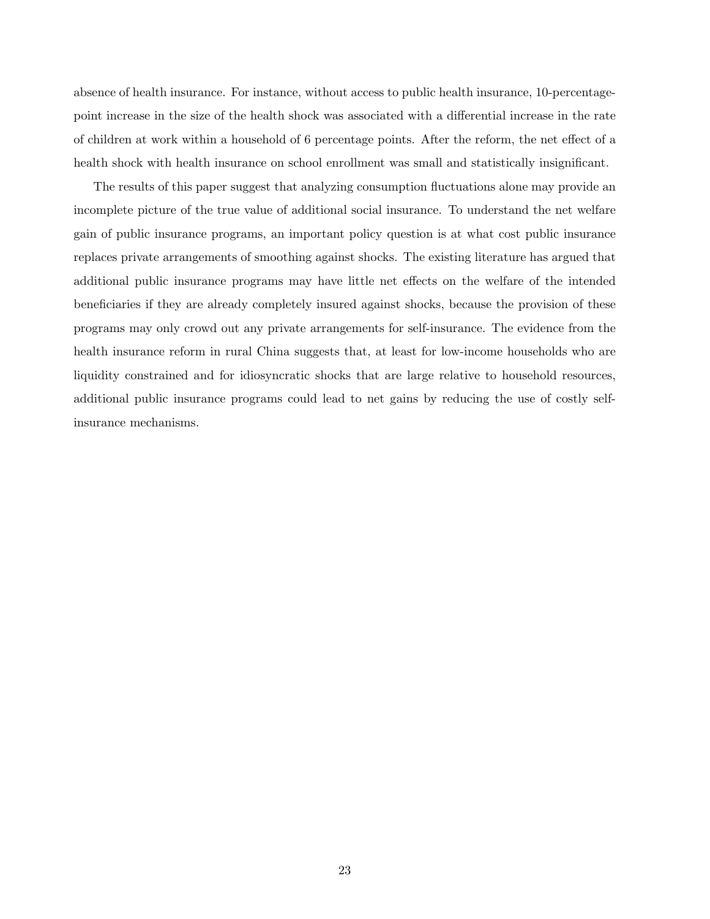absence of health insurance. For instance, without access to public health insurance, 10-percentagepoint increase in the size of the health shock was associated with a differential increase in the rate of children at work within a household of 6 percentage points. After the reform, the net effect of a health shock with health insurance on school enrollment was small and statistically insignificant.

The results of this paper suggest that analyzing consumption fluctuations alone may provide an incomplete picture of the true value of additional social insurance. To understand the net welfare gain of public insurance programs, an important policy question is at what cost public insurance replaces private arrangements of smoothing against shocks. The existing literature has argued that additional public insurance programs may have little net effects on the welfare of the intended beneficiaries if they are already completely insured against shocks, because the provision of these programs may only crowd out any private arrangements for self-insurance. The evidence from the health insurance reform in rural China suggests that, at least for low-income households who are liquidity constrained and for idiosyncratic shocks that are large relative to household resources, additional public insurance programs could lead to net gains by reducing the use of costly selfinsurance mechanisms.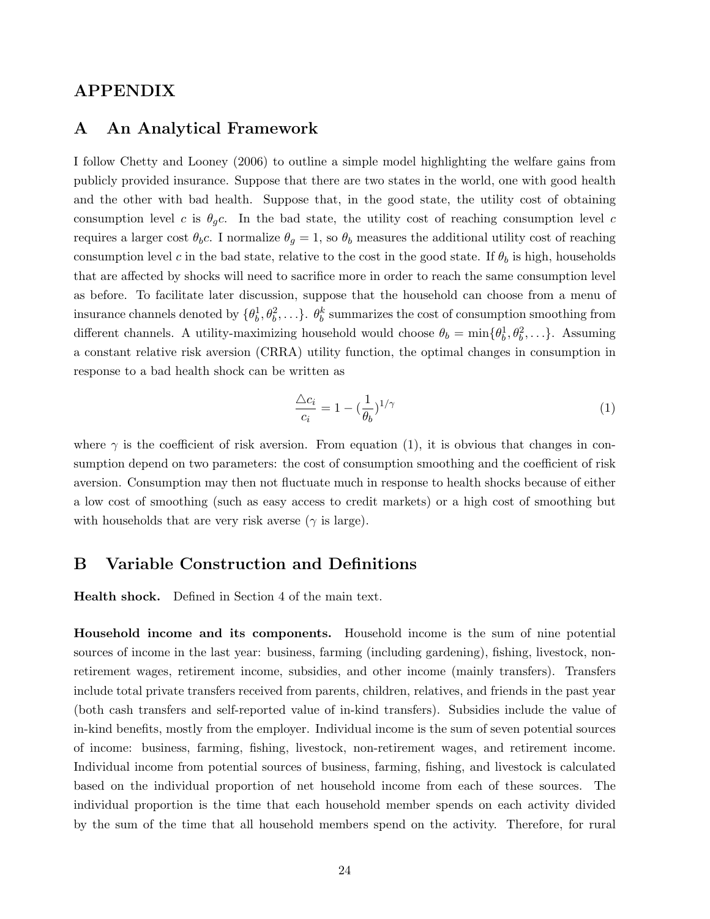## APPENDIX

### A An Analytical Framework

I follow Chetty and Looney (2006) to outline a simple model highlighting the welfare gains from publicly provided insurance. Suppose that there are two states in the world, one with good health and the other with bad health. Suppose that, in the good state, the utility cost of obtaining consumption level c is  $\theta_q$ . In the bad state, the utility cost of reaching consumption level c requires a larger cost  $\theta_b$ c. I normalize  $\theta_g = 1$ , so  $\theta_b$  measures the additional utility cost of reaching consumption level c in the bad state, relative to the cost in the good state. If  $\theta_b$  is high, households that are affected by shocks will need to sacrifice more in order to reach the same consumption level as before. To facilitate later discussion, suppose that the household can choose from a menu of insurance channels denoted by  $\{\theta_b^1, \theta_b^2, \ldots\}$ .  $\theta_b^k$  summarizes the cost of consumption smoothing from different channels. A utility-maximizing household would choose  $\theta_b = \min\{\theta_b^1, \theta_b^2, \ldots\}$ . Assuming a constant relative risk aversion (CRRA) utility function, the optimal changes in consumption in response to a bad health shock can be written as

$$
\frac{\triangle c_i}{c_i} = 1 - \left(\frac{1}{\theta_b}\right)^{1/\gamma} \tag{1}
$$

where  $\gamma$  is the coefficient of risk aversion. From equation (1), it is obvious that changes in consumption depend on two parameters: the cost of consumption smoothing and the coefficient of risk aversion. Consumption may then not fluctuate much in response to health shocks because of either a low cost of smoothing (such as easy access to credit markets) or a high cost of smoothing but with households that are very risk averse ( $\gamma$  is large).

### B Variable Construction and Definitions

Health shock. Defined in Section 4 of the main text.

Household income and its components. Household income is the sum of nine potential sources of income in the last year: business, farming (including gardening), fishing, livestock, nonretirement wages, retirement income, subsidies, and other income (mainly transfers). Transfers include total private transfers received from parents, children, relatives, and friends in the past year (both cash transfers and self-reported value of in-kind transfers). Subsidies include the value of in-kind benefits, mostly from the employer. Individual income is the sum of seven potential sources of income: business, farming, fishing, livestock, non-retirement wages, and retirement income. Individual income from potential sources of business, farming, fishing, and livestock is calculated based on the individual proportion of net household income from each of these sources. The individual proportion is the time that each household member spends on each activity divided by the sum of the time that all household members spend on the activity. Therefore, for rural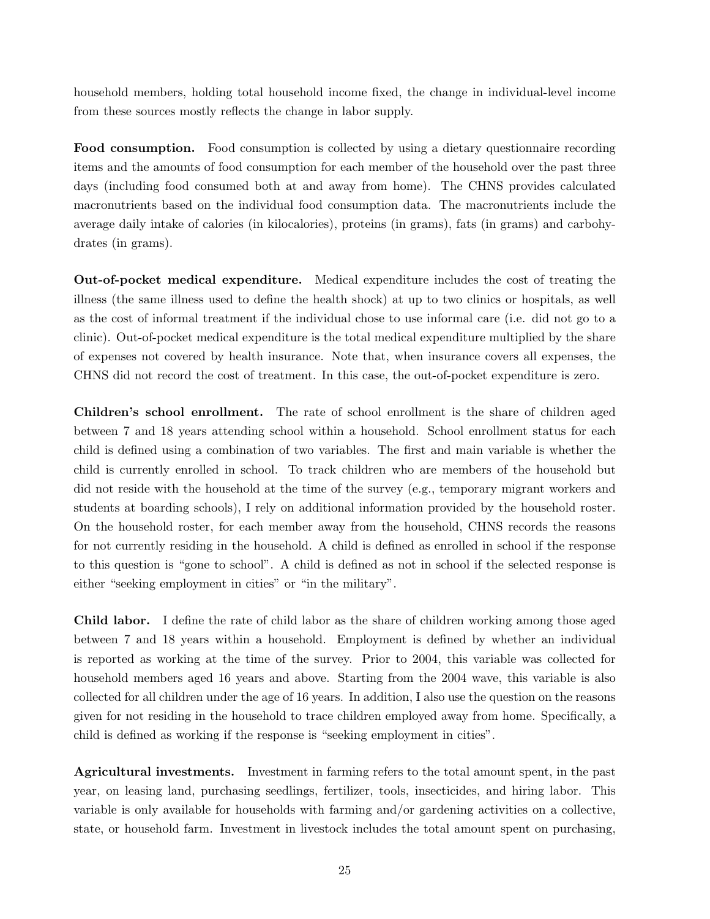household members, holding total household income fixed, the change in individual-level income from these sources mostly reflects the change in labor supply.

Food consumption. Food consumption is collected by using a dietary questionnaire recording items and the amounts of food consumption for each member of the household over the past three days (including food consumed both at and away from home). The CHNS provides calculated macronutrients based on the individual food consumption data. The macronutrients include the average daily intake of calories (in kilocalories), proteins (in grams), fats (in grams) and carbohydrates (in grams).

Out-of-pocket medical expenditure. Medical expenditure includes the cost of treating the illness (the same illness used to define the health shock) at up to two clinics or hospitals, as well as the cost of informal treatment if the individual chose to use informal care (i.e. did not go to a clinic). Out-of-pocket medical expenditure is the total medical expenditure multiplied by the share of expenses not covered by health insurance. Note that, when insurance covers all expenses, the CHNS did not record the cost of treatment. In this case, the out-of-pocket expenditure is zero.

Children's school enrollment. The rate of school enrollment is the share of children aged between 7 and 18 years attending school within a household. School enrollment status for each child is defined using a combination of two variables. The first and main variable is whether the child is currently enrolled in school. To track children who are members of the household but did not reside with the household at the time of the survey (e.g., temporary migrant workers and students at boarding schools), I rely on additional information provided by the household roster. On the household roster, for each member away from the household, CHNS records the reasons for not currently residing in the household. A child is defined as enrolled in school if the response to this question is "gone to school". A child is defined as not in school if the selected response is either "seeking employment in cities" or "in the military".

Child labor. I define the rate of child labor as the share of children working among those aged between 7 and 18 years within a household. Employment is defined by whether an individual is reported as working at the time of the survey. Prior to 2004, this variable was collected for household members aged 16 years and above. Starting from the 2004 wave, this variable is also collected for all children under the age of 16 years. In addition, I also use the question on the reasons given for not residing in the household to trace children employed away from home. Specifically, a child is defined as working if the response is "seeking employment in cities".

Agricultural investments. Investment in farming refers to the total amount spent, in the past year, on leasing land, purchasing seedlings, fertilizer, tools, insecticides, and hiring labor. This variable is only available for households with farming and/or gardening activities on a collective, state, or household farm. Investment in livestock includes the total amount spent on purchasing,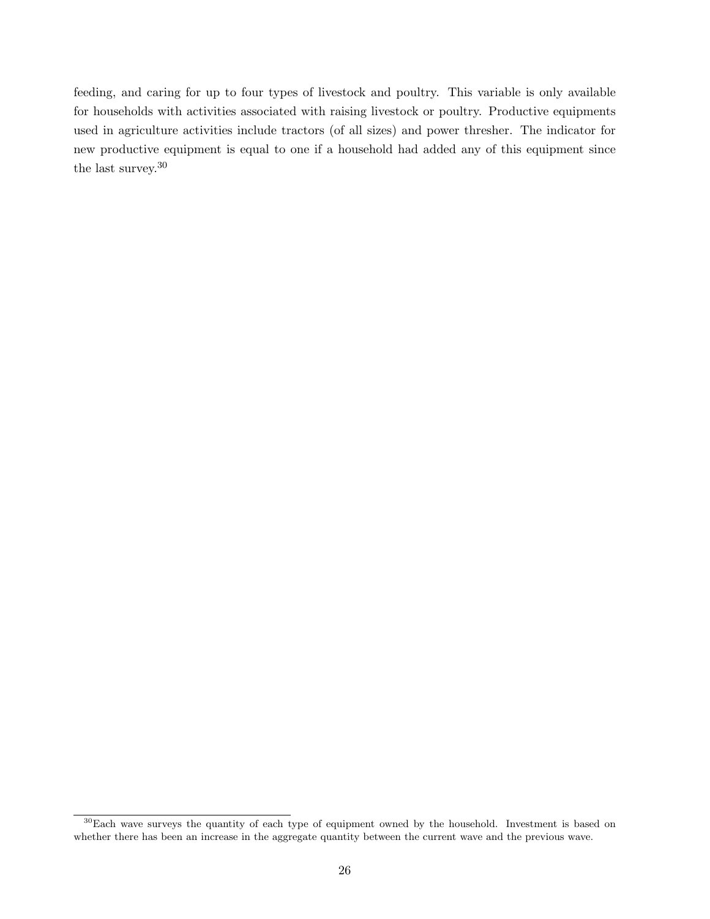feeding, and caring for up to four types of livestock and poultry. This variable is only available for households with activities associated with raising livestock or poultry. Productive equipments used in agriculture activities include tractors (of all sizes) and power thresher. The indicator for new productive equipment is equal to one if a household had added any of this equipment since the last survey.<sup>30</sup>

<sup>30</sup>Each wave surveys the quantity of each type of equipment owned by the household. Investment is based on whether there has been an increase in the aggregate quantity between the current wave and the previous wave.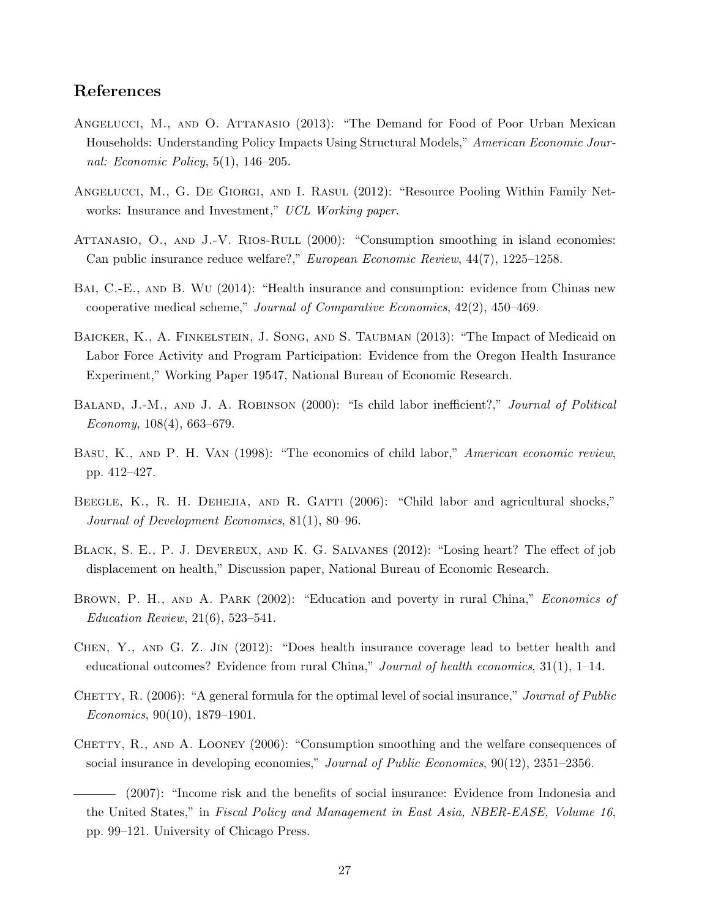## References

- Angelucci, M., and O. Attanasio (2013): "The Demand for Food of Poor Urban Mexican Households: Understanding Policy Impacts Using Structural Models," American Economic Journal: Economic Policy, 5(1), 146–205.
- Angelucci, M., G. De Giorgi, and I. Rasul (2012): "Resource Pooling Within Family Networks: Insurance and Investment," UCL Working paper.
- ATTANASIO, O., AND J.-V. RIOS-RULL (2000): "Consumption smoothing in island economies: Can public insurance reduce welfare?," European Economic Review, 44(7), 1225–1258.
- BAI, C.-E., AND B. WU (2014): "Health insurance and consumption: evidence from Chinas new cooperative medical scheme," Journal of Comparative Economics, 42(2), 450–469.
- BAICKER, K., A. FINKELSTEIN, J. SONG, AND S. TAUBMAN (2013): "The Impact of Medicaid on Labor Force Activity and Program Participation: Evidence from the Oregon Health Insurance Experiment," Working Paper 19547, National Bureau of Economic Research.
- BALAND, J.-M., AND J. A. ROBINSON (2000): "Is child labor inefficient?," Journal of Political  $Economy, 108(4), 663-679.$
- BASU, K., AND P. H. VAN (1998): "The economics of child labor," American economic review, pp. 412–427.
- BEEGLE, K., R. H. DEHEJIA, AND R. GATTI (2006): "Child labor and agricultural shocks," Journal of Development Economics, 81(1), 80–96.
- Black, S. E., P. J. Devereux, and K. G. Salvanes (2012): "Losing heart? The effect of job displacement on health," Discussion paper, National Bureau of Economic Research.
- BROWN, P. H., AND A. PARK (2002): "Education and poverty in rural China," *Economics of* Education Review, 21(6), 523–541.
- Chen, Y., and G. Z. Jin (2012): "Does health insurance coverage lead to better health and educational outcomes? Evidence from rural China," Journal of health economics, 31(1), 1–14.
- CHETTY, R. (2006): "A general formula for the optimal level of social insurance," *Journal of Public* Economics, 90(10), 1879–1901.
- CHETTY, R., AND A. LOONEY (2006): "Consumption smoothing and the welfare consequences of social insurance in developing economies," Journal of Public Economics, 90(12), 2351–2356.

<sup>(2007): &</sup>quot;Income risk and the benefits of social insurance: Evidence from Indonesia and the United States," in Fiscal Policy and Management in East Asia, NBER-EASE, Volume 16, pp. 99–121. University of Chicago Press.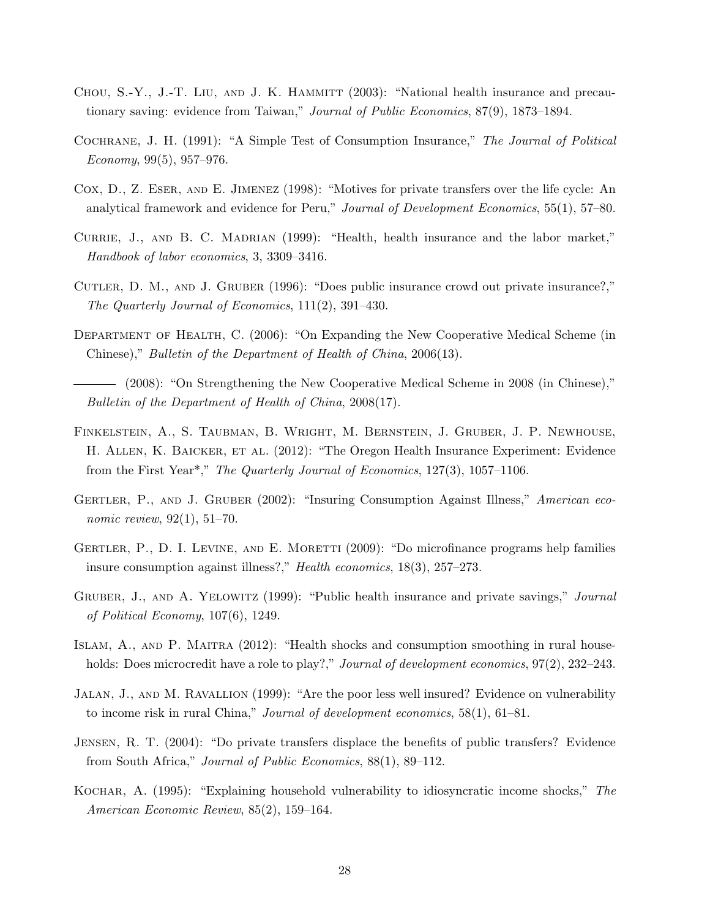- CHOU, S.-Y., J.-T. LIU, AND J. K. HAMMITT (2003): "National health insurance and precautionary saving: evidence from Taiwan," Journal of Public Economics, 87(9), 1873–1894.
- Cochrane, J. H. (1991): "A Simple Test of Consumption Insurance," The Journal of Political Economy, 99(5), 957–976.
- Cox, D., Z. Eser, and E. Jimenez (1998): "Motives for private transfers over the life cycle: An analytical framework and evidence for Peru," Journal of Development Economics, 55(1), 57–80.
- CURRIE, J., AND B. C. MADRIAN (1999): "Health, health insurance and the labor market," Handbook of labor economics, 3, 3309–3416.
- Cutler, D. M., and J. Gruber (1996): "Does public insurance crowd out private insurance?," The Quarterly Journal of Economics, 111(2), 391–430.
- Department of Health, C. (2006): "On Expanding the New Cooperative Medical Scheme (in Chinese)," Bulletin of the Department of Health of China, 2006(13).
- (2008): "On Strengthening the New Cooperative Medical Scheme in 2008 (in Chinese)," Bulletin of the Department of Health of China, 2008(17).
- Finkelstein, A., S. Taubman, B. Wright, M. Bernstein, J. Gruber, J. P. Newhouse, H. Allen, K. Baicker, et al. (2012): "The Oregon Health Insurance Experiment: Evidence from the First Year\*," The Quarterly Journal of Economics, 127(3), 1057–1106.
- Gertler, P., and J. Gruber (2002): "Insuring Consumption Against Illness," American economic review, 92(1), 51–70.
- GERTLER, P., D. I. LEVINE, AND E. MORETTI (2009): "Do microfinance programs help families insure consumption against illness?," Health economics, 18(3), 257–273.
- GRUBER, J., AND A. YELOWITZ (1999): "Public health insurance and private savings," Journal of Political Economy, 107(6), 1249.
- Islam, A., and P. Maitra (2012): "Health shocks and consumption smoothing in rural households: Does microcredit have a role to play?," Journal of development economics, 97(2), 232–243.
- JALAN, J., AND M. RAVALLION (1999): "Are the poor less well insured? Evidence on vulnerability to income risk in rural China," Journal of development economics, 58(1), 61–81.
- Jensen, R. T. (2004): "Do private transfers displace the benefits of public transfers? Evidence from South Africa," Journal of Public Economics, 88(1), 89–112.
- Kochar, A. (1995): "Explaining household vulnerability to idiosyncratic income shocks," The American Economic Review, 85(2), 159–164.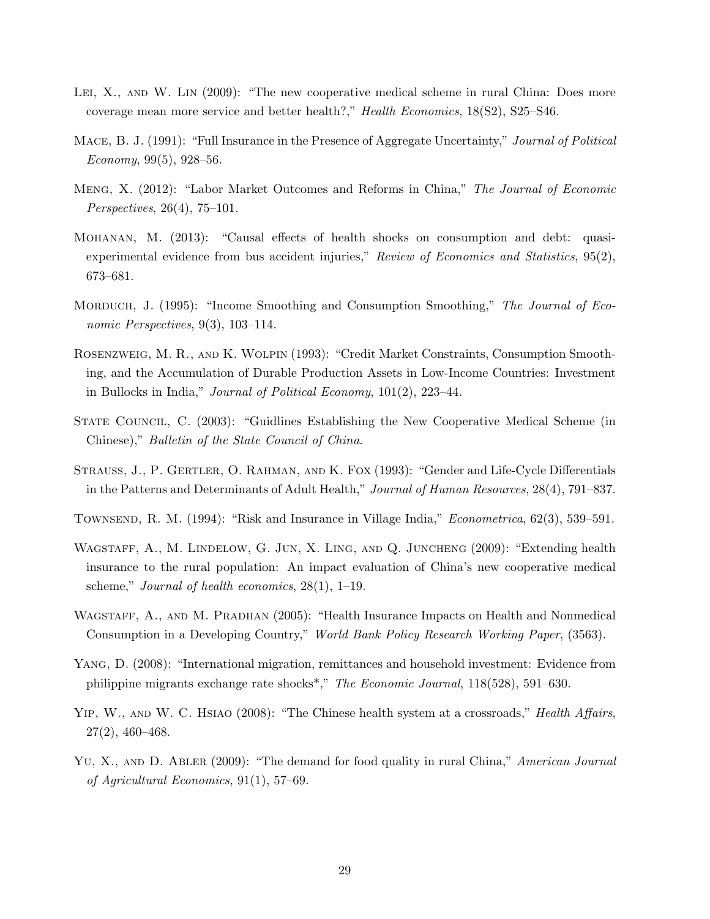- LEI, X., AND W. LIN (2009): "The new cooperative medical scheme in rural China: Does more coverage mean more service and better health?," Health Economics, 18(S2), S25–S46.
- MACE, B. J. (1991): "Full Insurance in the Presence of Aggregate Uncertainty," Journal of Political Economy, 99(5), 928–56.
- Meng, X. (2012): "Labor Market Outcomes and Reforms in China," The Journal of Economic Perspectives, 26(4), 75–101.
- Mohanan, M. (2013): "Causal effects of health shocks on consumption and debt: quasiexperimental evidence from bus accident injuries," Review of Economics and Statistics, 95(2), 673–681.
- MORDUCH, J. (1995): "Income Smoothing and Consumption Smoothing," The Journal of Economic Perspectives, 9(3), 103–114.
- Rosenzweig, M. R., and K. Wolpin (1993): "Credit Market Constraints, Consumption Smoothing, and the Accumulation of Durable Production Assets in Low-Income Countries: Investment in Bullocks in India," Journal of Political Economy, 101(2), 223–44.
- State Council, C. (2003): "Guidlines Establishing the New Cooperative Medical Scheme (in Chinese)," Bulletin of the State Council of China.
- Strauss, J., P. Gertler, O. Rahman, and K. Fox (1993): "Gender and Life-Cycle Differentials in the Patterns and Determinants of Adult Health," Journal of Human Resources, 28(4), 791–837.
- TOWNSEND, R. M. (1994): "Risk and Insurance in Village India," *Econometrica*, 62(3), 539–591.
- WAGSTAFF, A., M. LINDELOW, G. JUN, X. LING, AND Q. JUNCHENG (2009): "Extending health insurance to the rural population: An impact evaluation of China's new cooperative medical scheme," Journal of health economics, 28(1), 1–19.
- WAGSTAFF, A., AND M. PRADHAN (2005): "Health Insurance Impacts on Health and Nonmedical Consumption in a Developing Country," World Bank Policy Research Working Paper, (3563).
- Yang, D. (2008): "International migration, remittances and household investment: Evidence from philippine migrants exchange rate shocks\*," The Economic Journal, 118(528), 591–630.
- YIP, W., AND W. C. HSIAO (2008): "The Chinese health system at a crossroads," *Health Affairs*, 27(2), 460–468.
- YU, X., AND D. ABLER (2009): "The demand for food quality in rural China," American Journal of Agricultural Economics, 91(1), 57–69.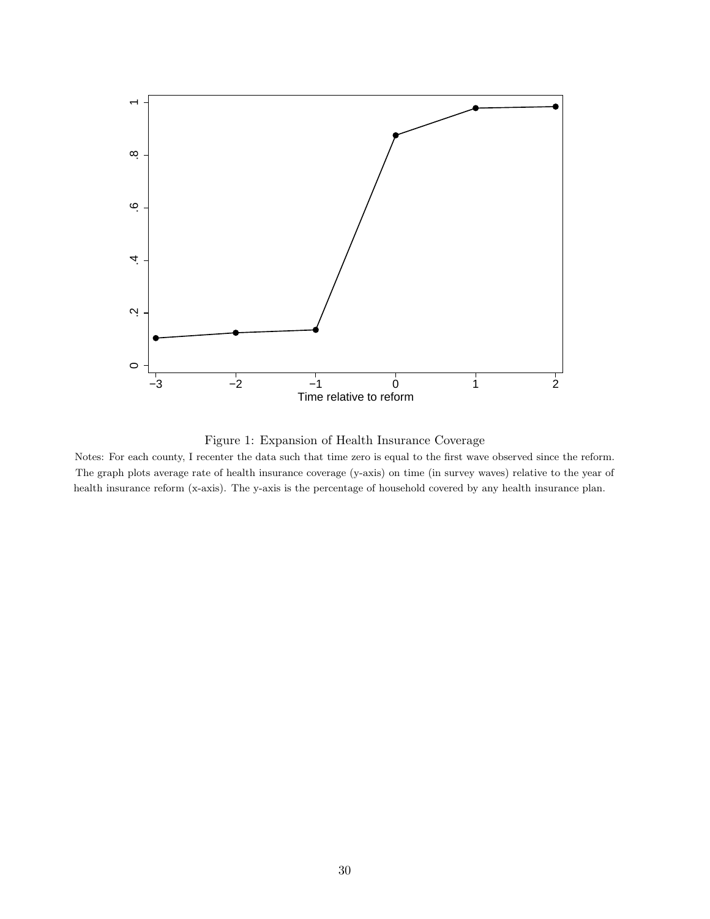

Figure 1: Expansion of Health Insurance Coverage

Notes: For each county, I recenter the data such that time zero is equal to the first wave observed since the reform. The graph plots average rate of health insurance coverage (y-axis) on time (in survey waves) relative to the year of health insurance reform (x-axis). The y-axis is the percentage of household covered by any health insurance plan.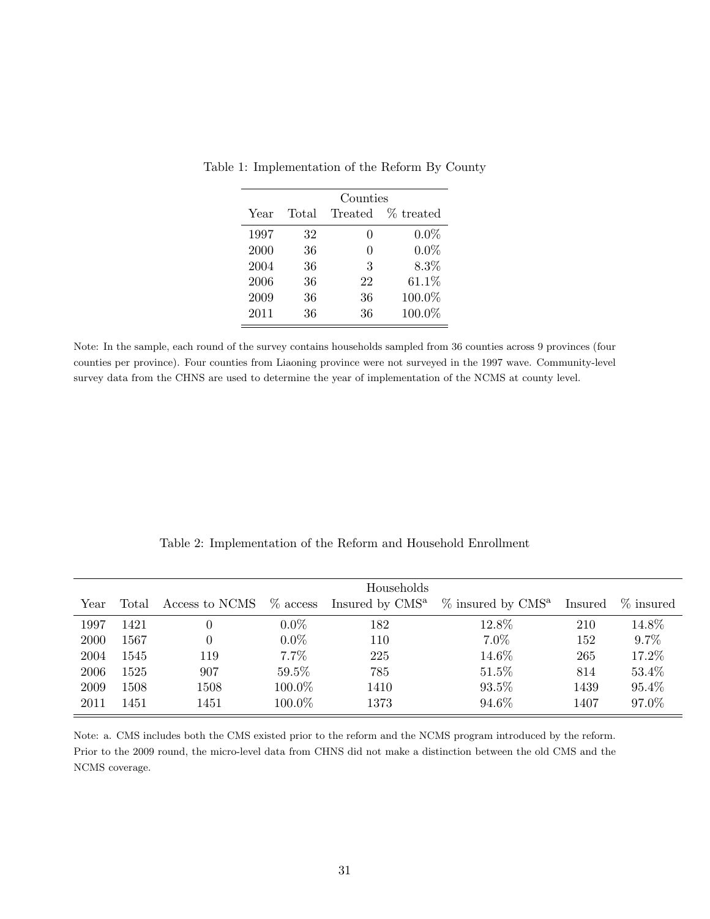|      |       | Counties |                   |
|------|-------|----------|-------------------|
| Year | Total |          | Treated % treated |
| 1997 | 32    | 0        | $0.0\%$           |
| 2000 | 36    | 0        | $0.0\%$           |
| 2004 | 36    | 3        | 8.3%              |
| 2006 | 36    | 22       | 61.1%             |
| 2009 | 36    | 36       | 100.0%            |
| 2011 | 36    | 36       | 100.0%            |

Table 1: Implementation of the Reform By County

Note: In the sample, each round of the survey contains households sampled from 36 counties across 9 provinces (four counties per province). Four counties from Liaoning province were not surveyed in the 1997 wave. Community-level survey data from the CHNS are used to determine the year of implementation of the NCMS at county level.

Table 2: Implementation of the Reform and Household Enrollment

|      |       |                |             | Households                  |                                  |         |           |
|------|-------|----------------|-------------|-----------------------------|----------------------------------|---------|-----------|
| Year | Total | Access to NCMS | $\%$ access | Insured by CMS <sup>a</sup> | $\%$ insured by CMS <sup>a</sup> | Insured | % insured |
| 1997 | 1421  | $\Omega$       | $0.0\%$     | 182                         | 12.8%                            | 210     | 14.8%     |
| 2000 | 1567  | $\Omega$       | $0.0\%$     | 110                         | $7.0\%$                          | 152     | $9.7\%$   |
| 2004 | 1545  | 119            | $7.7\%$     | 225                         | 14.6%                            | 265     | 17.2%     |
| 2006 | 1525  | 907            | $59.5\%$    | 785                         | $51.5\%$                         | 814     | 53.4\%    |
| 2009 | 1508  | 1508           | 100.0%      | 1410                        | 93.5%                            | 1439    | 95.4\%    |
| 2011 | 1451  | 1451           | 100.0%      | 1373                        | 94.6%                            | 1407    | 97.0%     |

Note: a. CMS includes both the CMS existed prior to the reform and the NCMS program introduced by the reform. Prior to the 2009 round, the micro-level data from CHNS did not make a distinction between the old CMS and the NCMS coverage.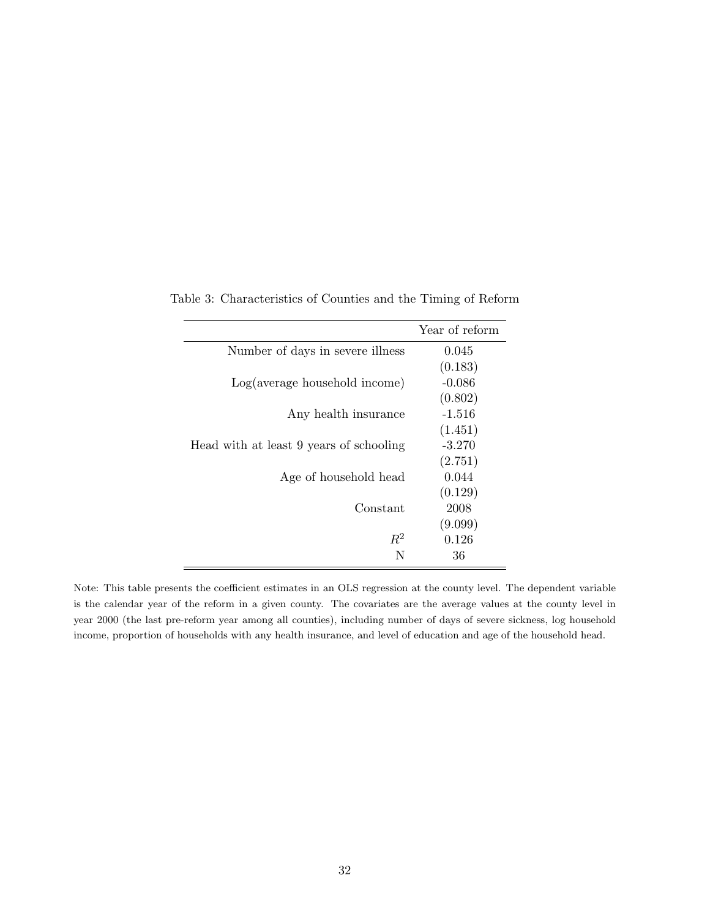|                                         | Year of reform |
|-----------------------------------------|----------------|
| Number of days in severe illness        | 0.045          |
|                                         | (0.183)        |
| Log(average household income)           | $-0.086$       |
|                                         | (0.802)        |
| Any health insurance                    | $-1.516$       |
|                                         | (1.451)        |
| Head with at least 9 years of schooling | $-3.270$       |
|                                         | (2.751)        |
| Age of household head                   | 0.044          |
|                                         | (0.129)        |
| Constant                                | 2008           |
|                                         | (9.099)        |
| $R^2$                                   | 0.126          |
| N                                       | 36             |

Table 3: Characteristics of Counties and the Timing of Reform

Note: This table presents the coefficient estimates in an OLS regression at the county level. The dependent variable is the calendar year of the reform in a given county. The covariates are the average values at the county level in year 2000 (the last pre-reform year among all counties), including number of days of severe sickness, log household income, proportion of households with any health insurance, and level of education and age of the household head.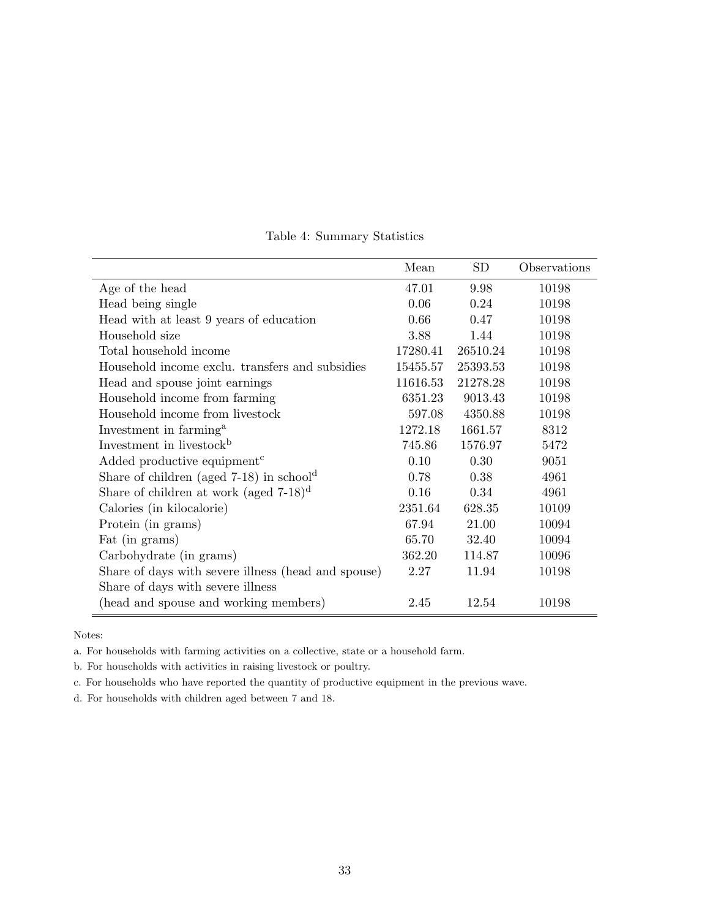|                                                         | Mean     | <b>SD</b> | Observations |
|---------------------------------------------------------|----------|-----------|--------------|
| Age of the head                                         | 47.01    | 9.98      | 10198        |
| Head being single                                       | 0.06     | 0.24      | 10198        |
| Head with at least 9 years of education                 | 0.66     | 0.47      | 10198        |
| Household size                                          | 3.88     | 1.44      | 10198        |
| Total household income                                  | 17280.41 | 26510.24  | 10198        |
| Household income exclu. transfers and subsidies         | 15455.57 | 25393.53  | 10198        |
| Head and spouse joint earnings                          | 11616.53 | 21278.28  | 10198        |
| Household income from farming                           | 6351.23  | 9013.43   | 10198        |
| Household income from livestock                         | 597.08   | 4350.88   | 10198        |
| Investment in farming <sup>a</sup>                      | 1272.18  | 1661.57   | 8312         |
| Investment in livestock <sup>b</sup>                    | 745.86   | 1576.97   | 5472         |
| Added productive equipment <sup>c</sup>                 | 0.10     | 0.30      | 9051         |
| Share of children (aged $7-18$ ) in school <sup>d</sup> | 0.78     | 0.38      | 4961         |
| Share of children at work (aged $7-18$ ) <sup>d</sup>   | 0.16     | 0.34      | 4961         |
| Calories (in kilocalorie)                               | 2351.64  | 628.35    | 10109        |
| Protein (in grams)                                      | 67.94    | 21.00     | 10094        |
| Fat (in grams)                                          | 65.70    | 32.40     | 10094        |
| Carbohydrate (in grams)                                 | 362.20   | 114.87    | 10096        |
| Share of days with severe illness (head and spouse)     | 2.27     | 11.94     | 10198        |
| Share of days with severe illness                       |          |           |              |
| (head and spouse and working members)                   | 2.45     | 12.54     | 10198        |

Table 4: Summary Statistics

Notes:

a. For households with farming activities on a collective, state or a household farm.

b. For households with activities in raising livestock or poultry.

c. For households who have reported the quantity of productive equipment in the previous wave.

d. For households with children aged between 7 and 18.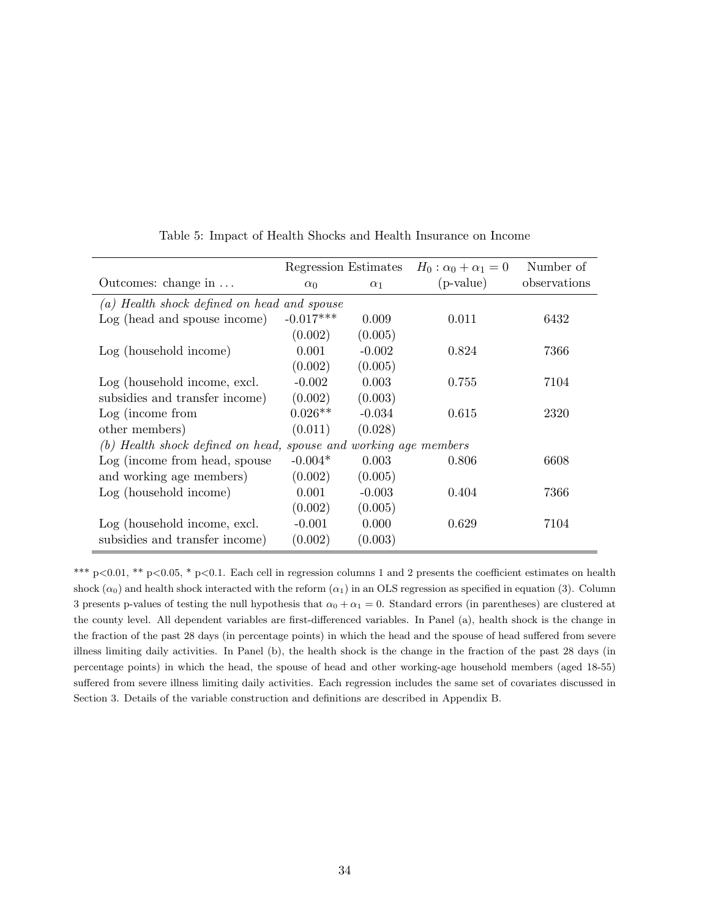|                                                                  |             | Regression Estimates | $H_0: \alpha_0 + \alpha_1 = 0$ | Number of    |
|------------------------------------------------------------------|-------------|----------------------|--------------------------------|--------------|
| Outcomes: change in $\dots$                                      | $\alpha_0$  | $\alpha_1$           | $(p-value)$                    | observations |
| (a) Health shock defined on head and spouse                      |             |                      |                                |              |
| Log (head and spouse income)                                     | $-0.017***$ | 0.009                | 0.011                          | 6432         |
|                                                                  | (0.002)     | (0.005)              |                                |              |
| Log (household income)                                           | 0.001       | $-0.002$             | 0.824                          | 7366         |
|                                                                  | (0.002)     | (0.005)              |                                |              |
| Log (household income, excl.                                     | $-0.002$    | 0.003                | 0.755                          | 7104         |
| subsidies and transfer income)                                   | (0.002)     | (0.003)              |                                |              |
| Log (income from                                                 | $0.026**$   | $-0.034$             | 0.615                          | 2320         |
| other members)                                                   | (0.011)     | (0.028)              |                                |              |
| (b) Health shock defined on head, spouse and working age members |             |                      |                                |              |
| Log (income from head, spouse                                    | $-0.004*$   | 0.003                | 0.806                          | 6608         |
| and working age members)                                         | (0.002)     | (0.005)              |                                |              |
| Log (household income)                                           | 0.001       | $-0.003$             | 0.404                          | 7366         |
|                                                                  | (0.002)     | (0.005)              |                                |              |
| Log (household income, excl.                                     | $-0.001$    | 0.000                | 0.629                          | 7104         |
| subsidies and transfer income)                                   | (0.002)     | (0.003)              |                                |              |

Table 5: Impact of Health Shocks and Health Insurance on Income

\*\*\* p<0.01, \*\* p<0.05, \* p<0.1. Each cell in regression columns 1 and 2 presents the coefficient estimates on health shock  $(\alpha_0)$  and health shock interacted with the reform  $(\alpha_1)$  in an OLS regression as specified in equation (3). Column 3 presents p-values of testing the null hypothesis that  $\alpha_0 + \alpha_1 = 0$ . Standard errors (in parentheses) are clustered at the county level. All dependent variables are first-differenced variables. In Panel (a), health shock is the change in the fraction of the past 28 days (in percentage points) in which the head and the spouse of head suffered from severe illness limiting daily activities. In Panel (b), the health shock is the change in the fraction of the past 28 days (in percentage points) in which the head, the spouse of head and other working-age household members (aged 18-55) suffered from severe illness limiting daily activities. Each regression includes the same set of covariates discussed in Section 3. Details of the variable construction and definitions are described in Appendix B.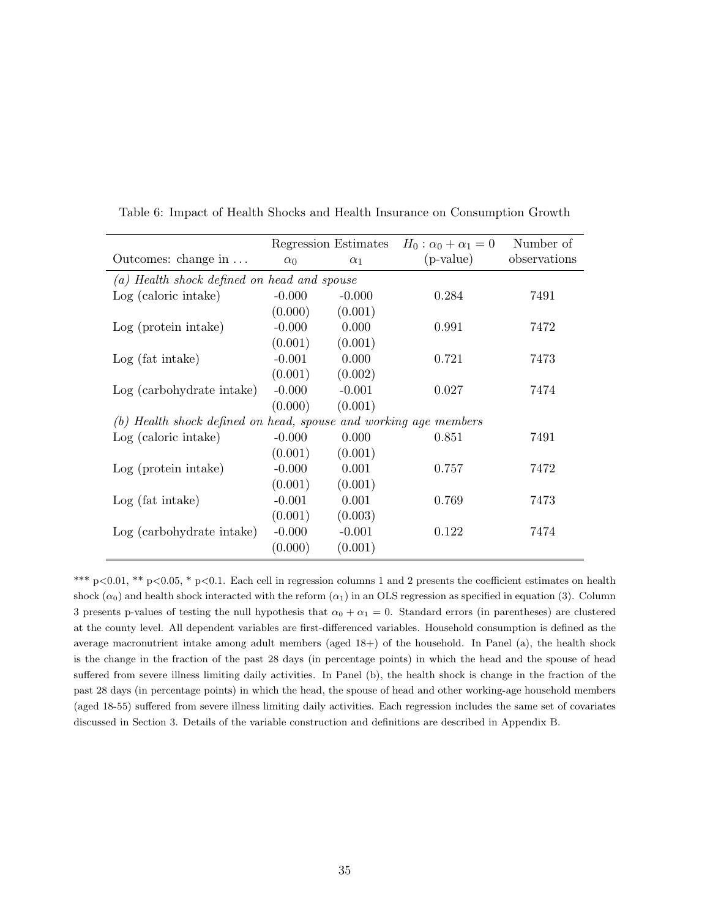|                                                                  |            | Regression Estimates | $H_0: \alpha_0 + \alpha_1 = 0$ | Number of    |
|------------------------------------------------------------------|------------|----------------------|--------------------------------|--------------|
| Outcomes: change in $\dots$                                      | $\alpha_0$ | $\alpha_1$           | $(p-value)$                    | observations |
| (a) Health shock defined on head and spouse                      |            |                      |                                |              |
| $Log$ (caloric intake)                                           | $-0.000$   | $-0.000$             | 0.284                          | 7491         |
|                                                                  | (0.000)    | (0.001)              |                                |              |
| Log (protein intake)                                             | $-0.000$   | 0.000                | 0.991                          | 7472         |
|                                                                  | (0.001)    | (0.001)              |                                |              |
| Log(fat intake)                                                  | $-0.001$   | 0.000                | 0.721                          | 7473         |
|                                                                  | (0.001)    | (0.002)              |                                |              |
| Log (carbohydrate intake)                                        | $-0.000$   | $-0.001$             | 0.027                          | 7474         |
|                                                                  | (0.000)    | (0.001)              |                                |              |
| (b) Health shock defined on head, spouse and working age members |            |                      |                                |              |
| $Log$ (caloric intake)                                           | $-0.000$   | 0.000                | 0.851                          | 7491         |
|                                                                  | (0.001)    | (0.001)              |                                |              |
| Log (protein intake)                                             | $-0.000$   | 0.001                | 0.757                          | 7472         |
|                                                                  | (0.001)    | (0.001)              |                                |              |
| Log(fat intake)                                                  | $-0.001$   | 0.001                | 0.769                          | 7473         |
|                                                                  | (0.001)    | (0.003)              |                                |              |
| Log (carbohydrate intake)                                        | $-0.000$   | $-0.001$             | 0.122                          | 7474         |
|                                                                  | (0.000)    | (0.001)              |                                |              |

Table 6: Impact of Health Shocks and Health Insurance on Consumption Growth

\*\*\* p<0.01, \*\* p<0.05, \* p<0.1. Each cell in regression columns 1 and 2 presents the coefficient estimates on health shock  $(\alpha_0)$  and health shock interacted with the reform  $(\alpha_1)$  in an OLS regression as specified in equation (3). Column 3 presents p-values of testing the null hypothesis that  $\alpha_0 + \alpha_1 = 0$ . Standard errors (in parentheses) are clustered at the county level. All dependent variables are first-differenced variables. Household consumption is defined as the average macronutrient intake among adult members (aged 18+) of the household. In Panel (a), the health shock is the change in the fraction of the past 28 days (in percentage points) in which the head and the spouse of head suffered from severe illness limiting daily activities. In Panel (b), the health shock is change in the fraction of the past 28 days (in percentage points) in which the head, the spouse of head and other working-age household members (aged 18-55) suffered from severe illness limiting daily activities. Each regression includes the same set of covariates discussed in Section 3. Details of the variable construction and definitions are described in Appendix B.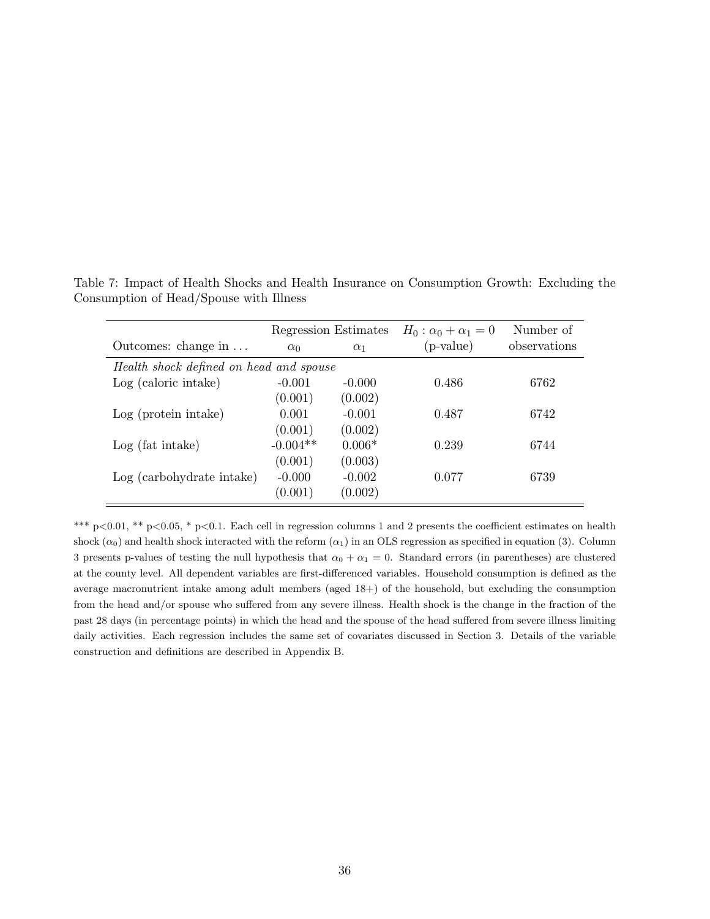|                                         |            | Regression Estimates | $H_0: \alpha_0 + \alpha_1 = 0$ | Number of    |
|-----------------------------------------|------------|----------------------|--------------------------------|--------------|
| Outcomes: change in $\dots$             | $\alpha_0$ | $\alpha_1$           | $(p-value)$                    | observations |
| Health shock defined on head and spouse |            |                      |                                |              |
| $Log$ (caloric intake)                  | $-0.001$   | $-0.000$             | 0.486                          | 6762         |
|                                         | (0.001)    | (0.002)              |                                |              |
| Log (protein intake)                    | 0.001      | $-0.001$             | 0.487                          | 6742         |
|                                         | (0.001)    | (0.002)              |                                |              |
| Log(fat intake)                         | $-0.004**$ | $0.006*$             | 0.239                          | 6744         |
|                                         | (0.001)    | (0.003)              |                                |              |
| Log (carbohydrate intake)               | $-0.000$   | $-0.002$             | 0.077                          | 6739         |
|                                         | (0.001)    | (0.002)              |                                |              |

Table 7: Impact of Health Shocks and Health Insurance on Consumption Growth: Excluding the Consumption of Head/Spouse with Illness

\*\*\* p<0.01, \*\* p<0.05, \* p<0.1. Each cell in regression columns 1 and 2 presents the coefficient estimates on health shock  $(\alpha_0)$  and health shock interacted with the reform  $(\alpha_1)$  in an OLS regression as specified in equation (3). Column 3 presents p-values of testing the null hypothesis that  $\alpha_0 + \alpha_1 = 0$ . Standard errors (in parentheses) are clustered at the county level. All dependent variables are first-differenced variables. Household consumption is defined as the average macronutrient intake among adult members (aged 18+) of the household, but excluding the consumption from the head and/or spouse who suffered from any severe illness. Health shock is the change in the fraction of the past 28 days (in percentage points) in which the head and the spouse of the head suffered from severe illness limiting daily activities. Each regression includes the same set of covariates discussed in Section 3. Details of the variable construction and definitions are described in Appendix B.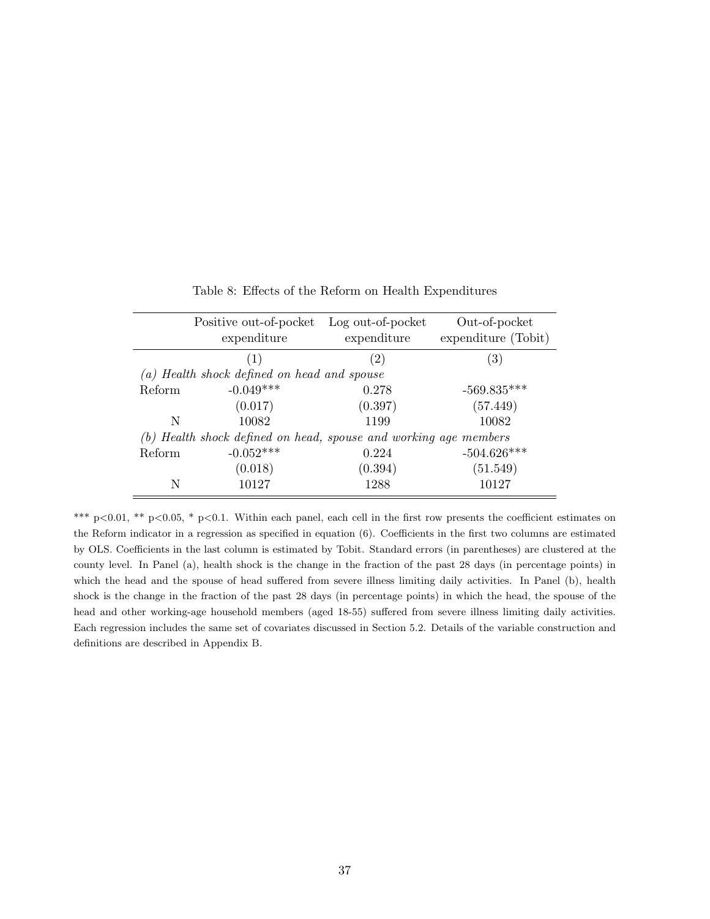|        | Positive out-of-pocket Log out-of-pocket                         |             | Out-of-pocket       |
|--------|------------------------------------------------------------------|-------------|---------------------|
|        | expenditure                                                      | expenditure | expenditure (Tobit) |
|        | (1)                                                              | 2)          | (3)                 |
|        | (a) Health shock defined on head and spouse                      |             |                     |
| Reform | $-0.049***$                                                      | 0.278       | $-569.835***$       |
|        | (0.017)                                                          | (0.397)     | (57.449)            |
| N      | 10082                                                            | 1199        | 10082               |
|        | (b) Health shock defined on head, spouse and working age members |             |                     |
| Reform | $-0.052***$                                                      | 0.224       | $-504.626***$       |
|        | (0.018)                                                          | (0.394)     | (51.549)            |
| N      | 10127                                                            | 1288        | 10127               |

Table 8: Effects of the Reform on Health Expenditures

\*\*\* p<0.01, \*\* p<0.05, \* p<0.1. Within each panel, each cell in the first row presents the coefficient estimates on the Reform indicator in a regression as specified in equation (6). Coefficients in the first two columns are estimated by OLS. Coefficients in the last column is estimated by Tobit. Standard errors (in parentheses) are clustered at the county level. In Panel (a), health shock is the change in the fraction of the past 28 days (in percentage points) in which the head and the spouse of head suffered from severe illness limiting daily activities. In Panel (b), health shock is the change in the fraction of the past 28 days (in percentage points) in which the head, the spouse of the head and other working-age household members (aged 18-55) suffered from severe illness limiting daily activities. Each regression includes the same set of covariates discussed in Section 5.2. Details of the variable construction and definitions are described in Appendix B.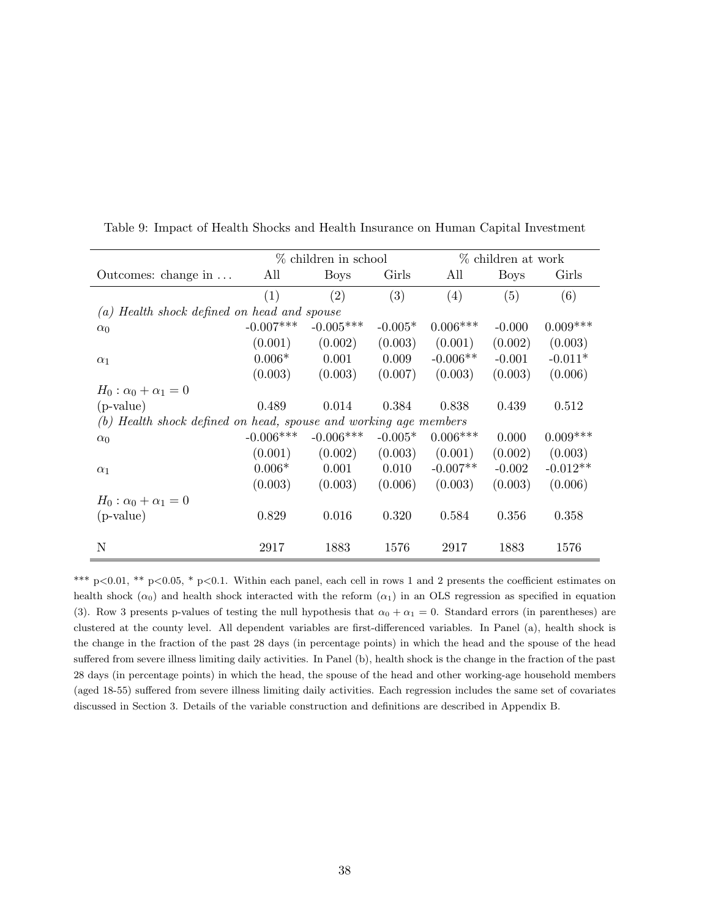|                                                                  |             | % children in school |           |            | % children at work |            |
|------------------------------------------------------------------|-------------|----------------------|-----------|------------|--------------------|------------|
| Outcomes: change in $\dots$                                      | All         | <b>Boys</b>          | Girls     | All        | <b>Boys</b>        | Girls      |
|                                                                  | (1)         | (2)                  | (3)       | (4)        | (5)                | (6)        |
| Health shock defined on head and spouse<br>$\left( a\right)$     |             |                      |           |            |                    |            |
| $\alpha_0$                                                       | $-0.007***$ | $-0.005***$          | $-0.005*$ | $0.006***$ | $-0.000$           | $0.009***$ |
|                                                                  | (0.001)     | (0.002)              | (0.003)   | (0.001)    | (0.002)            | (0.003)    |
| $\alpha_1$                                                       | $0.006*$    | 0.001                | 0.009     | $-0.006**$ | $-0.001$           | $-0.011*$  |
|                                                                  | (0.003)     | (0.003)              | (0.007)   | (0.003)    | (0.003)            | (0.006)    |
| $H_0: \alpha_0 + \alpha_1 = 0$                                   |             |                      |           |            |                    |            |
| $(p-value)$                                                      | 0.489       | 0.014                | 0.384     | 0.838      | 0.439              | 0.512      |
| (b) Health shock defined on head, spouse and working age members |             |                      |           |            |                    |            |
| $\alpha_0$                                                       | $-0.006***$ | $-0.006***$          | $-0.005*$ | $0.006***$ | 0.000              | $0.009***$ |
|                                                                  | (0.001)     | (0.002)              | (0.003)   | (0.001)    | (0.002)            | (0.003)    |
| $\alpha_1$                                                       | $0.006*$    | 0.001                | 0.010     | $-0.007**$ | $-0.002$           | $-0.012**$ |
|                                                                  | (0.003)     | (0.003)              | (0.006)   | (0.003)    | (0.003)            | (0.006)    |
| $H_0: \alpha_0 + \alpha_1 = 0$                                   |             |                      |           |            |                    |            |
| (p-value)                                                        | 0.829       | 0.016                | 0.320     | 0.584      | 0.356              | 0.358      |
|                                                                  |             |                      |           |            |                    |            |
| N                                                                | 2917        | 1883                 | 1576      | 2917       | 1883               | 1576       |

Table 9: Impact of Health Shocks and Health Insurance on Human Capital Investment

\*\*\* p<0.01, \*\* p<0.05, \* p<0.1. Within each panel, each cell in rows 1 and 2 presents the coefficient estimates on health shock ( $\alpha_0$ ) and health shock interacted with the reform ( $\alpha_1$ ) in an OLS regression as specified in equation (3). Row 3 presents p-values of testing the null hypothesis that  $\alpha_0 + \alpha_1 = 0$ . Standard errors (in parentheses) are clustered at the county level. All dependent variables are first-differenced variables. In Panel (a), health shock is the change in the fraction of the past 28 days (in percentage points) in which the head and the spouse of the head suffered from severe illness limiting daily activities. In Panel (b), health shock is the change in the fraction of the past 28 days (in percentage points) in which the head, the spouse of the head and other working-age household members (aged 18-55) suffered from severe illness limiting daily activities. Each regression includes the same set of covariates discussed in Section 3. Details of the variable construction and definitions are described in Appendix B.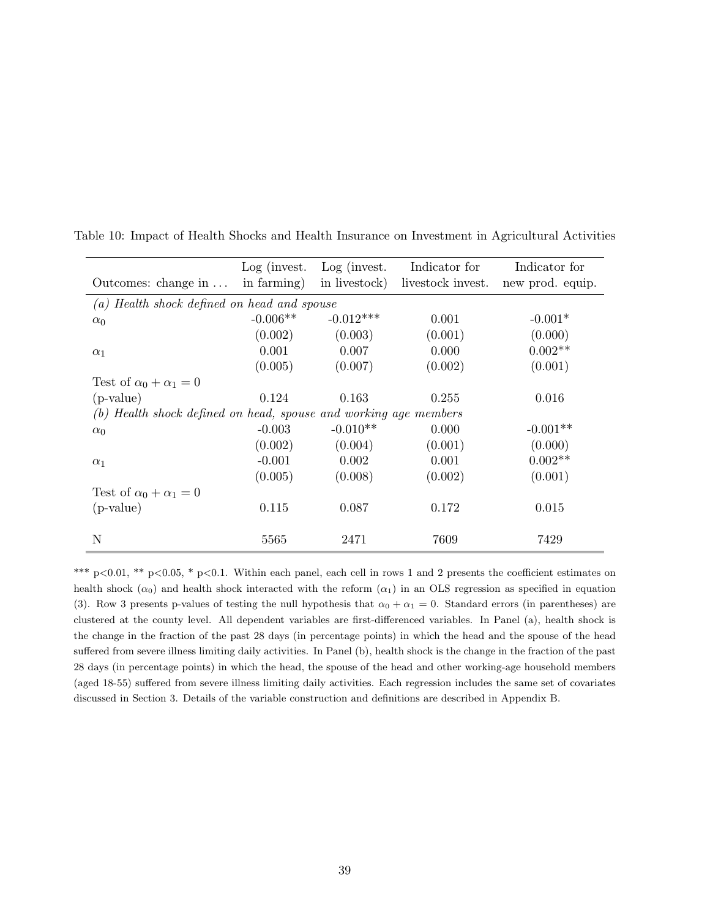|                                                                  | $Log$ (invest. | Log (invest.  | Indicator for     | Indicator for    |
|------------------------------------------------------------------|----------------|---------------|-------------------|------------------|
| Outcomes: change in $\dots$                                      | in farming)    | in livestock) | livestock invest. | new prod. equip. |
| (a) Health shock defined on head and spouse                      |                |               |                   |                  |
| $\alpha_0$                                                       | $-0.006**$     | $-0.012***$   | 0.001             | $-0.001*$        |
|                                                                  | (0.002)        | (0.003)       | (0.001)           | (0.000)          |
| $\alpha_1$                                                       | 0.001          | 0.007         | 0.000             | $0.002**$        |
|                                                                  | (0.005)        | (0.007)       | (0.002)           | (0.001)          |
| Test of $\alpha_0 + \alpha_1 = 0$                                |                |               |                   |                  |
| $(p-value)$                                                      | 0.124          | 0.163         | 0.255             | 0.016            |
| (b) Health shock defined on head, spouse and working age members |                |               |                   |                  |
| $\alpha_0$                                                       | $-0.003$       | $-0.010**$    | 0.000             | $-0.001**$       |
|                                                                  | (0.002)        | (0.004)       | (0.001)           | (0.000)          |
| $\alpha_1$                                                       | $-0.001$       | 0.002         | 0.001             | $0.002**$        |
|                                                                  | (0.005)        | (0.008)       | (0.002)           | (0.001)          |
| Test of $\alpha_0 + \alpha_1 = 0$                                |                |               |                   |                  |
| $(p-value)$                                                      | 0.115          | 0.087         | 0.172             | 0.015            |
| N                                                                | 5565           | 2471          | 7609              | 7429             |

Table 10: Impact of Health Shocks and Health Insurance on Investment in Agricultural Activities

\*\*\* p<0.01, \*\* p<0.05, \* p<0.1. Within each panel, each cell in rows 1 and 2 presents the coefficient estimates on health shock ( $\alpha_0$ ) and health shock interacted with the reform ( $\alpha_1$ ) in an OLS regression as specified in equation (3). Row 3 presents p-values of testing the null hypothesis that  $\alpha_0 + \alpha_1 = 0$ . Standard errors (in parentheses) are clustered at the county level. All dependent variables are first-differenced variables. In Panel (a), health shock is the change in the fraction of the past 28 days (in percentage points) in which the head and the spouse of the head suffered from severe illness limiting daily activities. In Panel (b), health shock is the change in the fraction of the past 28 days (in percentage points) in which the head, the spouse of the head and other working-age household members (aged 18-55) suffered from severe illness limiting daily activities. Each regression includes the same set of covariates discussed in Section 3. Details of the variable construction and definitions are described in Appendix B.